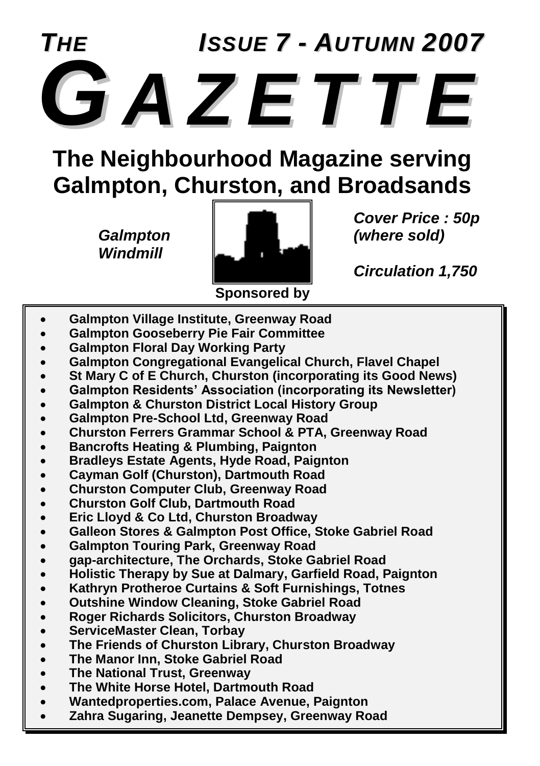

**The Neighbourhood Magazine serving Galmpton, Churston, and Broadsands**

*Windmill*



*Cover Price : 50p*

*Circulation 1,750*

- **Galmpton Village Institute, Greenway Road**
- **Galmpton Gooseberry Pie Fair Committee**
- **Galmpton Floral Day Working Party**
- **Galmpton Congregational Evangelical Church, Flavel Chapel**
- **St Mary C of E Church, Churston (incorporating its Good News)**
- **Galmpton Residents' Association (incorporating its Newsletter)**
- **Galmpton & Churston District Local History Group**
- **Galmpton Pre-School Ltd, Greenway Road**
- **Churston Ferrers Grammar School & PTA, Greenway Road**
- **Bancrofts Heating & Plumbing, Paignton**
- **Bradleys Estate Agents, Hyde Road, Paignton**
- **Cayman Golf (Churston), Dartmouth Road**
- **Churston Computer Club, Greenway Road**
- **Churston Golf Club, Dartmouth Road**
- **Eric Lloyd & Co Ltd, Churston Broadway**
- **Galleon Stores & Galmpton Post Office, Stoke Gabriel Road**
- **Galmpton Touring Park, Greenway Road**
- **gap-architecture, The Orchards, Stoke Gabriel Road**
- **Holistic Therapy by Sue at Dalmary, Garfield Road, Paignton**
- **Kathryn Protheroe Curtains & Soft Furnishings, Totnes**
- **Outshine Window Cleaning, Stoke Gabriel Road**
- **Roger Richards Solicitors, Churston Broadway**
- **ServiceMaster Clean, Torbay**
- **The Friends of Churston Library, Churston Broadway**
- **The Manor Inn, Stoke Gabriel Road**
- **The National Trust, Greenway**
- **The White Horse Hotel, Dartmouth Road**
- **Wantedproperties.com, Palace Avenue, Paignton**
- **Zahra Sugaring, Jeanette Dempsey, Greenway Road**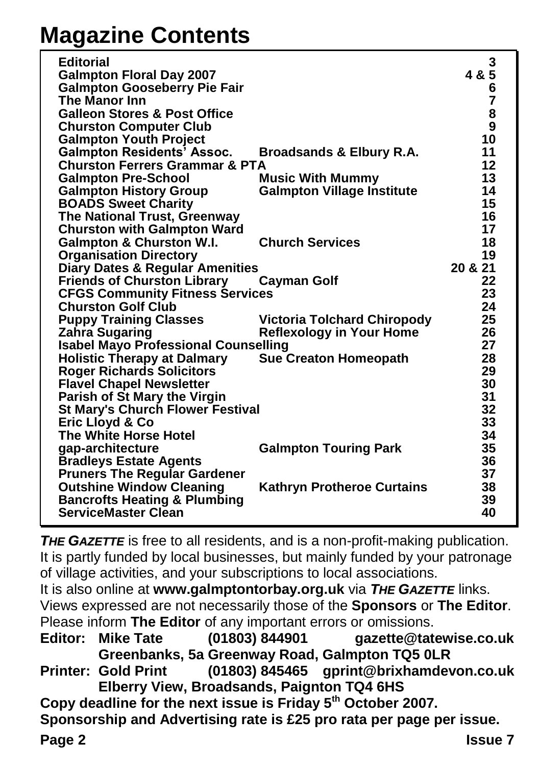## **Magazine Contents**

| <b>Editorial</b><br><b>Galmpton Floral Day 2007</b><br><b>Galmpton Gooseberry Pie Fair</b><br>The Manor Inn<br><b>Galleon Stores &amp; Post Office</b><br><b>Churston Computer Club</b> |                                                                | 3<br>4 & 5<br>6<br>7<br>8<br>9 |
|-----------------------------------------------------------------------------------------------------------------------------------------------------------------------------------------|----------------------------------------------------------------|--------------------------------|
| <b>Galmpton Youth Project</b>                                                                                                                                                           |                                                                | 10                             |
| <b>Galmpton Residents<sup>3</sup></b> Assoc.                                                                                                                                            | Broadsands & Elbury R.A.                                       | 11<br>12                       |
| <b>Churston Ferrers Grammar &amp; PTA</b><br><b>Galmpton Pre-School</b>                                                                                                                 | <b>Music With Mummy</b>                                        | 13                             |
| <b>Galmpton History Group</b>                                                                                                                                                           | <b>Galmpton Village Institute</b>                              | 14                             |
| <b>BOADS Sweet Charity</b>                                                                                                                                                              |                                                                | 15                             |
| The National Trust, Greenway                                                                                                                                                            |                                                                | 16                             |
| <b>Churston with Galmpton Ward</b>                                                                                                                                                      |                                                                | 17                             |
| <b>Galmpton &amp; Churston W.I.</b>                                                                                                                                                     | <b>Church Services</b>                                         | 18                             |
| <b>Organisation Directory</b>                                                                                                                                                           |                                                                | 19                             |
| <b>Diary Dates &amp; Regular Amenities</b>                                                                                                                                              |                                                                | 20 & 21                        |
| <b>Friends of Churston Library</b>                                                                                                                                                      | <b>Cayman Golf</b>                                             | 22                             |
| <b>CFGS Community Fitness Services</b>                                                                                                                                                  |                                                                | 23<br>24                       |
| <b>Churston Golf Club</b>                                                                                                                                                               |                                                                | 25                             |
| <b>Puppy Training Classes</b><br>Zahra Sugaring                                                                                                                                         | Victoria Tolchard Chiropody<br><b>Reflexology in Your Home</b> | 26                             |
| <b>Isabel Mayo Professional Counselling</b>                                                                                                                                             |                                                                | 27                             |
| <b>Holistic Therapy at Dalmary</b>                                                                                                                                                      | <b>Sue Creaton Homeopath</b>                                   | 28                             |
| <b>Roger Richards Solicitors</b>                                                                                                                                                        |                                                                | 29                             |
| <b>Flavel Chapel Newsletter</b>                                                                                                                                                         |                                                                | 30                             |
| Parish of St Mary the Virgin                                                                                                                                                            |                                                                | 31                             |
| <b>St Mary's Church Flower Festival</b>                                                                                                                                                 |                                                                | 32                             |
| Eric Lloyd & Co                                                                                                                                                                         |                                                                | 33                             |
| The White Horse Hotel                                                                                                                                                                   |                                                                | 34                             |
| qap-architecture                                                                                                                                                                        | <b>Galmpton Touring Park</b>                                   | 35                             |
| <b>Bradleys Estate Agents</b>                                                                                                                                                           |                                                                | 36                             |
| <b>Pruners The Regular Gardener</b>                                                                                                                                                     |                                                                | 37                             |
| <b>Outshine Window Cleaning</b>                                                                                                                                                         | <b>Kathryn Protheroe Curtains</b>                              | 38                             |
| <b>Bancrofts Heating &amp; Plumbing</b><br><b>ServiceMaster Clean</b>                                                                                                                   |                                                                | 39<br>40                       |
|                                                                                                                                                                                         |                                                                |                                |

**THE GAZETTE** is free to all residents, and is a non-profit-making publication. It is partly funded by local businesses, but mainly funded by your patronage of village activities, and your subscriptions to local associations.

It is also online at **www.galmptontorbay.org.uk** via *THE GAZETTE* links. Views expressed are not necessarily those of the **Sponsors** or **The Editor**. Please inform **The Editor** of any important errors or omissions.

**Editor: Mike Tate (01803) 844901 gazette@tatewise.co.uk Greenbanks, 5a Greenway Road, Galmpton TQ5 0LR**

**Printer: Gold Print (01803) 845465 gprint@brixhamdevon.co.uk Elberry View, Broadsands, Paignton TQ4 6HS**

**Copy deadline for the next issue is Friday 5th October 2007.**

**Sponsorship and Advertising rate is £25 pro rata per page per issue.**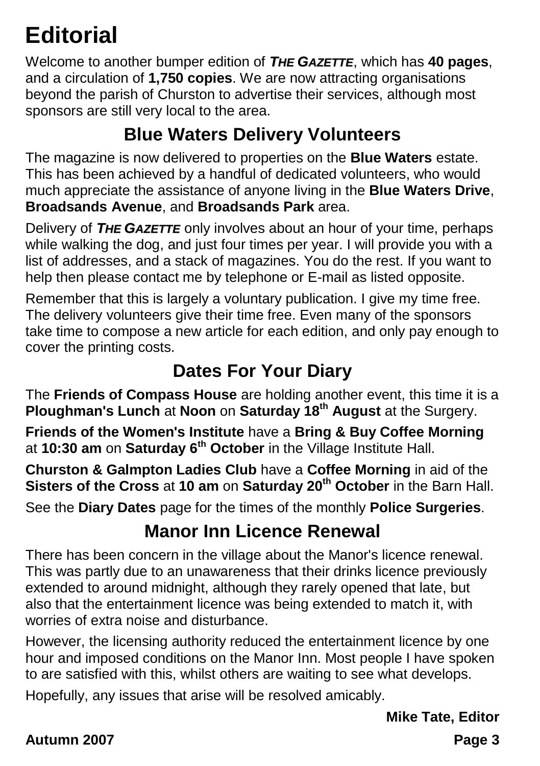## **Editorial**

Welcome to another bumper edition of *THE GAZETTE*, which has **40 pages**, and a circulation of **1,750 copies**. We are now attracting organisations beyond the parish of Churston to advertise their services, although most sponsors are still very local to the area.

### **Blue Waters Delivery Volunteers**

The magazine is now delivered to properties on the **Blue Waters** estate. This has been achieved by a handful of dedicated volunteers, who would much appreciate the assistance of anyone living in the **Blue Waters Drive**, **Broadsands Avenue**, and **Broadsands Park** area.

Delivery of *THE GAZETTE* only involves about an hour of your time, perhaps while walking the dog, and just four times per year. I will provide you with a list of addresses, and a stack of magazines. You do the rest. If you want to help then please contact me by telephone or E-mail as listed opposite.

Remember that this is largely a voluntary publication. I give my time free. The delivery volunteers give their time free. Even many of the sponsors take time to compose a new article for each edition, and only pay enough to cover the printing costs.

### **Dates For Your Diary**

The **Friends of Compass House** are holding another event, this time it is a **Ploughman's Lunch** at **Noon** on **Saturday 18th August** at the Surgery.

**Friends of the Women's Institute** have a **Bring & Buy Coffee Morning** at **10:30 am** on **Saturday 6th October** in the Village Institute Hall.

**Churston & Galmpton Ladies Club** have a **Coffee Morning** in aid of the **Sisters of the Cross** at **10 am** on **Saturday 20th October** in the Barn Hall.

See the **Diary Dates** page for the times of the monthly **Police Surgeries**.

### **Manor Inn Licence Renewal**

There has been concern in the village about the Manor's licence renewal. This was partly due to an unawareness that their drinks licence previously extended to around midnight, although they rarely opened that late, but also that the entertainment licence was being extended to match it, with worries of extra noise and disturbance.

However, the licensing authority reduced the entertainment licence by one hour and imposed conditions on the Manor Inn. Most people I have spoken to are satisfied with this, whilst others are waiting to see what develops.

Hopefully, any issues that arise will be resolved amicably.

**Mike Tate, Editor**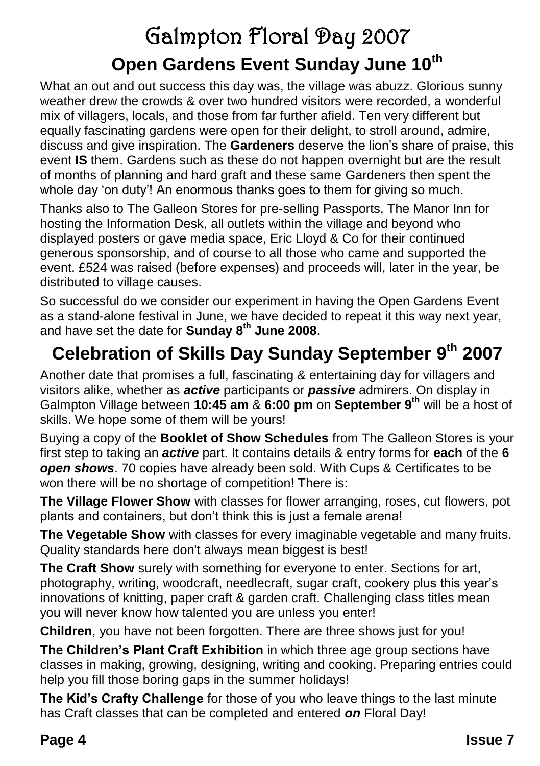## Galmpton Floral Day 2007 **Open Gardens Event Sunday June 10th**

What an out and out success this day was, the village was abuzz. Glorious sunny weather drew the crowds & over two hundred visitors were recorded, a wonderful mix of villagers, locals, and those from far further afield. Ten very different but equally fascinating gardens were open for their delight, to stroll around, admire, discuss and give inspiration. The **Gardeners** deserve the lion's share of praise, this event **IS** them. Gardens such as these do not happen overnight but are the result of months of planning and hard graft and these same Gardeners then spent the whole day 'on duty'! An enormous thanks goes to them for giving so much.

Thanks also to The Galleon Stores for pre-selling Passports, The Manor Inn for hosting the Information Desk, all outlets within the village and beyond who displayed posters or gave media space, Eric Lloyd & Co for their continued generous sponsorship, and of course to all those who came and supported the event. £524 was raised (before expenses) and proceeds will, later in the year, be distributed to village causes.

So successful do we consider our experiment in having the Open Gardens Event as a stand-alone festival in June, we have decided to repeat it this way next year, and have set the date for **Sunday 8th June 2008**.

## **Celebration of Skills Day Sunday September 9 th 2007**

Another date that promises a full, fascinating & entertaining day for villagers and visitors alike, whether as *active* participants or *passive* admirers. On display in Galmpton Village between **10:45 am** & **6:00 pm** on **September 9th** will be a host of skills. We hope some of them will be yours!

Buying a copy of the **Booklet of Show Schedules** from The Galleon Stores is your first step to taking an *active* part. It contains details & entry forms for **each** of the **6** *open shows*. 70 copies have already been sold. With Cups & Certificates to be won there will be no shortage of competition! There is:

**The Village Flower Show** with classes for flower arranging, roses, cut flowers, pot plants and containers, but don't think this is just a female arena!

**The Vegetable Show** with classes for every imaginable vegetable and many fruits. Quality standards here don't always mean biggest is best!

**The Craft Show** surely with something for everyone to enter. Sections for art, photography, writing, woodcraft, needlecraft, sugar craft, cookery plus this year's innovations of knitting, paper craft & garden craft. Challenging class titles mean you will never know how talented you are unless you enter!

**Children**, you have not been forgotten. There are three shows just for you!

**The Children's Plant Craft Exhibition** in which three age group sections have classes in making, growing, designing, writing and cooking. Preparing entries could help you fill those boring gaps in the summer holidays!

**The Kid's Crafty Challenge** for those of you who leave things to the last minute has Craft classes that can be completed and entered *on* Floral Day!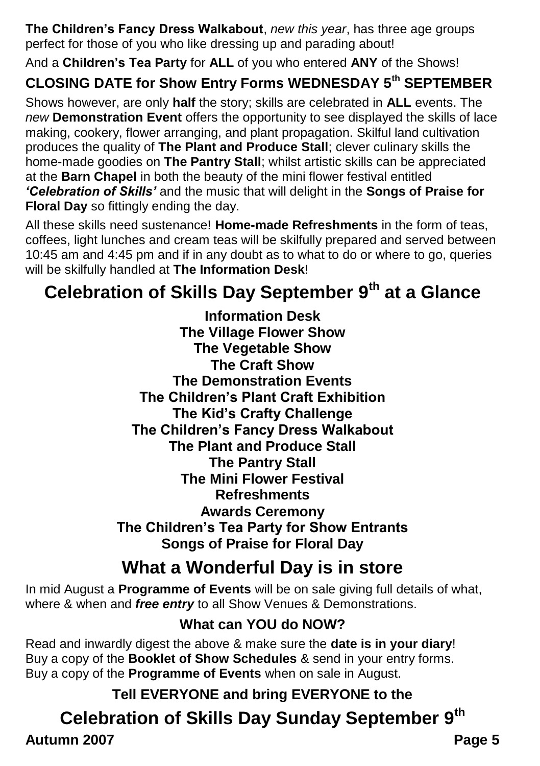**The Children's Fancy Dress Walkabout**, *new this year*, has three age groups perfect for those of you who like dressing up and parading about!

And a **Children's Tea Party** for **ALL** of you who entered **ANY** of the Shows!

### **CLOSING DATE for Show Entry Forms WEDNESDAY 5th SEPTEMBER**

Shows however, are only **half** the story; skills are celebrated in **ALL** events. The *new* **Demonstration Event** offers the opportunity to see displayed the skills of lace making, cookery, flower arranging, and plant propagation. Skilful land cultivation produces the quality of **The Plant and Produce Stall**; clever culinary skills the home-made goodies on **The Pantry Stall**; whilst artistic skills can be appreciated at the **Barn Chapel** in both the beauty of the mini flower festival entitled *'Celebration of Skills'* and the music that will delight in the **Songs of Praise for Floral Day** so fittingly ending the day.

All these skills need sustenance! **Home-made Refreshments** in the form of teas, coffees, light lunches and cream teas will be skilfully prepared and served between 10:45 am and 4:45 pm and if in any doubt as to what to do or where to go, queries will be skilfully handled at **The Information Desk**!

## **Celebration of Skills Day September 9th at a Glance**

**Information Desk The Village Flower Show The Vegetable Show The Craft Show The Demonstration Events The Children's Plant Craft Exhibition The Kid's Crafty Challenge The Children's Fancy Dress Walkabout The Plant and Produce Stall The Pantry Stall The Mini Flower Festival Refreshments Awards Ceremony The Children's Tea Party for Show Entrants Songs of Praise for Floral Day**

### **What a Wonderful Day is in store**

In mid August a **Programme of Events** will be on sale giving full details of what, where & when and *free entry* to all Show Venues & Demonstrations.

### **What can YOU do NOW?**

Read and inwardly digest the above & make sure the **date is in your diary**! Buy a copy of the **Booklet of Show Schedules** & send in your entry forms. Buy a copy of the **Programme of Events** when on sale in August.

**Tell EVERYONE and bring EVERYONE to the** 

### **Celebration of Skills Day Sunday September 9th**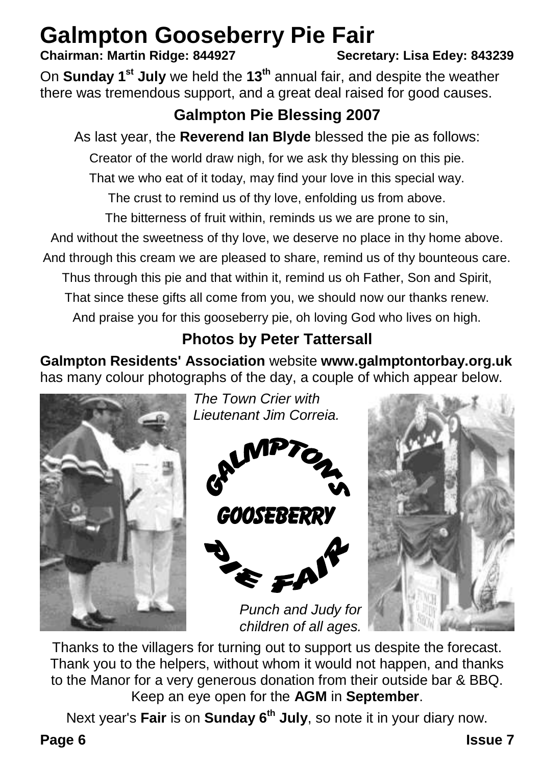# **Galmpton Gooseberry Pie Fair**<br>Chairman: Martin Ridge: 844927<br>Secretary: Lisa Edev: 843239

### **Chairman: Martin Ridge: 844927**

On **Sunday 1st July** we held the **13th** annual fair, and despite the weather there was tremendous support, and a great deal raised for good causes.

### **Galmpton Pie Blessing 2007**

As last year, the **Reverend Ian Blyde** blessed the pie as follows:

Creator of the world draw nigh, for we ask thy blessing on this pie.

That we who eat of it today, may find your love in this special way.

The crust to remind us of thy love, enfolding us from above.

The bitterness of fruit within, reminds us we are prone to sin,

And without the sweetness of thy love, we deserve no place in thy home above.

And through this cream we are pleased to share, remind us of thy bounteous care.

Thus through this pie and that within it, remind us oh Father, Son and Spirit,

That since these gifts all come from you, we should now our thanks renew.

And praise you for this gooseberry pie, oh loving God who lives on high.

### **Photos by Peter Tattersall**

**Galmpton Residents' Association** website **www.galmptontorbay.org.uk** has many colour photographs of the day, a couple of which appear below.



*The Town Crier with Lieutenant Jim Correia.*





Thanks to the villagers for turning out to support us despite the forecast. Thank you to the helpers, without whom it would not happen, and thanks to the Manor for a very generous donation from their outside bar & BBQ. Keep an eye open for the **AGM** in **September**.

*Punch and Judy for children of all ages.*

Next year's **Fair** is on **Sunday 6th July**, so note it in your diary now.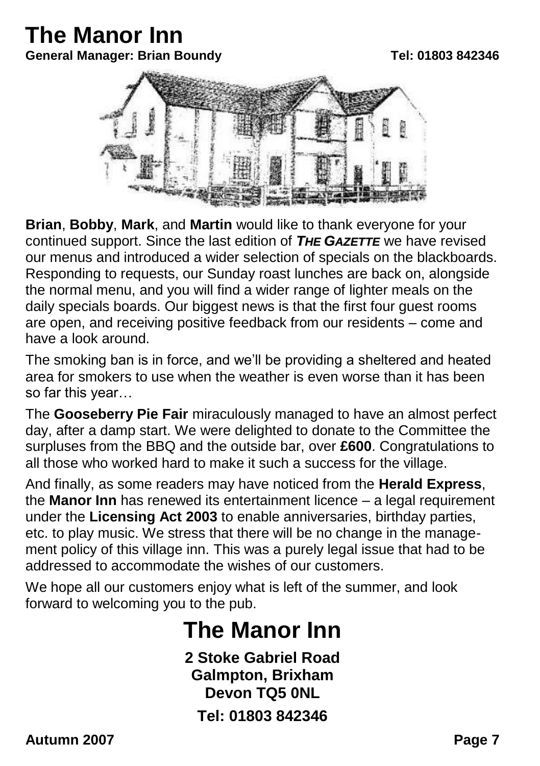### **The Manor Inn General Manager: Brian Boundy Tel: 01803 842346**



**Brian**, **Bobby**, **Mark**, and **Martin** would like to thank everyone for your continued support. Since the last edition of *THE GAZETTE* we have revised our menus and introduced a wider selection of specials on the blackboards. Responding to requests, our Sunday roast lunches are back on, alongside the normal menu, and you will find a wider range of lighter meals on the daily specials boards. Our biggest news is that the first four guest rooms are open, and receiving positive feedback from our residents – come and have a look around.

The smoking ban is in force, and we'll be providing a sheltered and heated area for smokers to use when the weather is even worse than it has been so far this year…

The **Gooseberry Pie Fair** miraculously managed to have an almost perfect day, after a damp start. We were delighted to donate to the Committee the surpluses from the BBQ and the outside bar, over **£600**. Congratulations to all those who worked hard to make it such a success for the village.

And finally, as some readers may have noticed from the **Herald Express**, the **Manor Inn** has renewed its entertainment licence – a legal requirement under the **Licensing Act 2003** to enable anniversaries, birthday parties, etc. to play music. We stress that there will be no change in the management policy of this village inn. This was a purely legal issue that had to be addressed to accommodate the wishes of our customers.

We hope all our customers enjoy what is left of the summer, and look forward to welcoming you to the pub.

## **The Manor Inn**

**2 Stoke Gabriel Road Galmpton, Brixham Devon TQ5 0NL Tel: 01803 842346**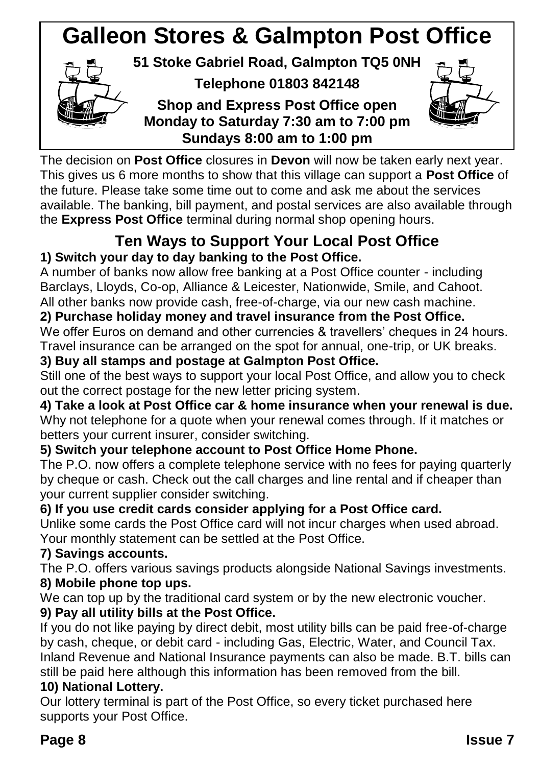### **Galleon Stores & Galmpton Post Office 51 Stoke Gabriel Road, Galmpton TQ5 0NH Telephone 01803 842148 Shop and Express Post Office open Monday to Saturday 7:30 am to 7:00 pm Sundays 8:00 am to 1:00 pm**

The decision on **Post Office** closures in **Devon** will now be taken early next year. This gives us 6 more months to show that this village can support a **Post Office** of the future. Please take some time out to come and ask me about the services available. The banking, bill payment, and postal services are also available through the **Express Post Office** terminal during normal shop opening hours.

### **Ten Ways to Support Your Local Post Office 1) Switch your day to day banking to the Post Office.**

A number of banks now allow free banking at a Post Office counter - including Barclays, Lloyds, Co-op, Alliance & Leicester, Nationwide, Smile, and Cahoot. All other banks now provide cash, free-of-charge, via our new cash machine.

### **2) Purchase holiday money and travel insurance from the Post Office.**

We offer Euros on demand and other currencies & travellers' cheques in 24 hours. Travel insurance can be arranged on the spot for annual, one-trip, or UK breaks.

### **3) Buy all stamps and postage at Galmpton Post Office.**

Still one of the best ways to support your local Post Office, and allow you to check out the correct postage for the new letter pricing system.

**4) Take a look at Post Office car & home insurance when your renewal is due.** Why not telephone for a quote when your renewal comes through. If it matches or betters your current insurer, consider switching.

### **5) Switch your telephone account to Post Office Home Phone.**

The P.O. now offers a complete telephone service with no fees for paying quarterly by cheque or cash. Check out the call charges and line rental and if cheaper than your current supplier consider switching.

### **6) If you use credit cards consider applying for a Post Office card.**

Unlike some cards the Post Office card will not incur charges when used abroad. Your monthly statement can be settled at the Post Office.

### **7) Savings accounts.**

The P.O. offers various savings products alongside National Savings investments. **8) Mobile phone top ups.**

We can top up by the traditional card system or by the new electronic voucher.

### **9) Pay all utility bills at the Post Office.**

If you do not like paying by direct debit, most utility bills can be paid free-of-charge by cash, cheque, or debit card - including Gas, Electric, Water, and Council Tax. Inland Revenue and National Insurance payments can also be made. B.T. bills can still be paid here although this information has been removed from the bill.

### **10) National Lottery.**

Our lottery terminal is part of the Post Office, so every ticket purchased here supports your Post Office.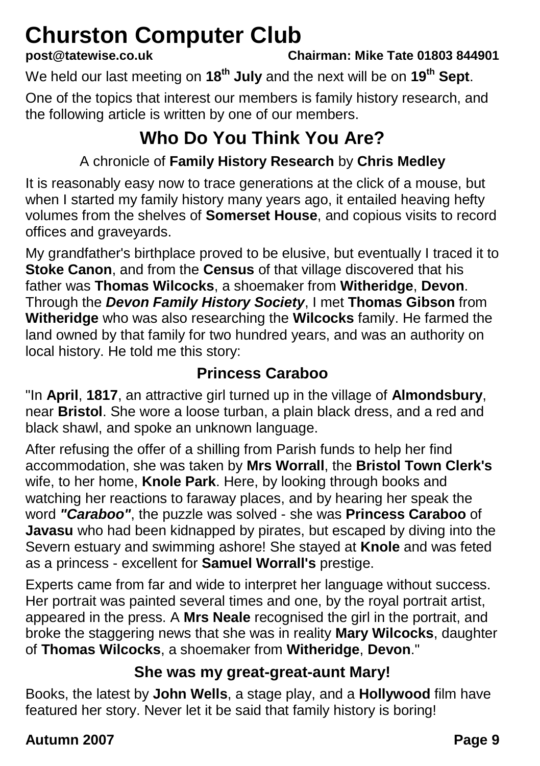# **Churston Computer Club**<br>post@tatewise.co.uk Ch

**post@tatewise.co.uk Chairman: Mike Tate 01803 844901**

We held our last meeting on **18th July** and the next will be on **19th Sept**.

One of the topics that interest our members is family history research, and the following article is written by one of our members.

## **Who Do You Think You Are?**

### A chronicle of **Family History Research** by **Chris Medley**

It is reasonably easy now to trace generations at the click of a mouse, but when I started my family history many years ago, it entailed heaving hefty volumes from the shelves of **Somerset House**, and copious visits to record offices and graveyards.

My grandfather's birthplace proved to be elusive, but eventually I traced it to **Stoke Canon**, and from the **Census** of that village discovered that his father was **Thomas Wilcocks**, a shoemaker from **Witheridge**, **Devon**. Through the *Devon Family History Society*, I met **Thomas Gibson** from **Witheridge** who was also researching the **Wilcocks** family. He farmed the land owned by that family for two hundred years, and was an authority on local history. He told me this story:

### **Princess Caraboo**

"In **April**, **1817**, an attractive girl turned up in the village of **Almondsbury**, near **Bristol**. She wore a loose turban, a plain black dress, and a red and black shawl, and spoke an unknown language.

After refusing the offer of a shilling from Parish funds to help her find accommodation, she was taken by **Mrs Worrall**, the **Bristol Town Clerk's** wife, to her home, **Knole Park**. Here, by looking through books and watching her reactions to faraway places, and by hearing her speak the word *"Caraboo"*, the puzzle was solved - she was **Princess Caraboo** of **Javasu** who had been kidnapped by pirates, but escaped by diving into the Severn estuary and swimming ashore! She stayed at **Knole** and was feted as a princess - excellent for **Samuel Worrall's** prestige.

Experts came from far and wide to interpret her language without success. Her portrait was painted several times and one, by the royal portrait artist, appeared in the press. A **Mrs Neale** recognised the girl in the portrait, and broke the staggering news that she was in reality **Mary Wilcocks**, daughter of **Thomas Wilcocks**, a shoemaker from **Witheridge**, **Devon**."

### **She was my great-great-aunt Mary!**

Books, the latest by **John Wells**, a stage play, and a **Hollywood** film have featured her story. Never let it be said that family history is boring!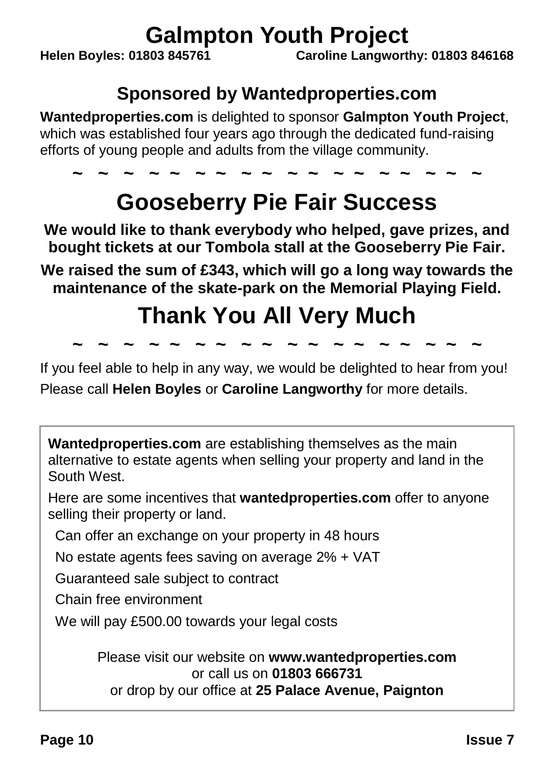# **Galmpton Youth Project**<br>Caroline Langwort Caroline Langwort

**Helen Boyles: 01803 845761 Caroline Langworthy: 01803 846168**

### **Sponsored by Wantedproperties.com**

**Wantedproperties.com** is delighted to sponsor **Galmpton Youth Project**, which was established four years ago through the dedicated fund-raising efforts of young people and adults from the village community.

## **~ ~ ~ ~ ~ ~ ~ ~ ~ ~ ~ ~ ~ ~ ~ ~ ~ ~ Gooseberry Pie Fair Success**

**We would like to thank everybody who helped, gave prizes, and bought tickets at our Tombola stall at the Gooseberry Pie Fair.**

**We raised the sum of £343, which will go a long way towards the maintenance of the skate-park on the Memorial Playing Field.**

## **Thank You All Very Much**

**~ ~ ~ ~ ~ ~ ~ ~ ~ ~ ~ ~ ~ ~ ~ ~ ~ ~**

If you feel able to help in any way, we would be delighted to hear from you! Please call **Helen Boyles** or **Caroline Langworthy** for more details.

**Wantedproperties.com** are establishing themselves as the main alternative to estate agents when selling your property and land in the South West.

Here are some incentives that **wantedproperties.com** offer to anyone selling their property or land.

Can offer an exchange on your property in 48 hours

No estate agents fees saving on average 2% + VAT

Guaranteed sale subject to contract

Chain free environment

We will pay £500.00 towards your legal costs

Please visit our website on **www.wantedproperties.com** or call us on **01803 666731** or drop by our office at **25 Palace Avenue, Paignton**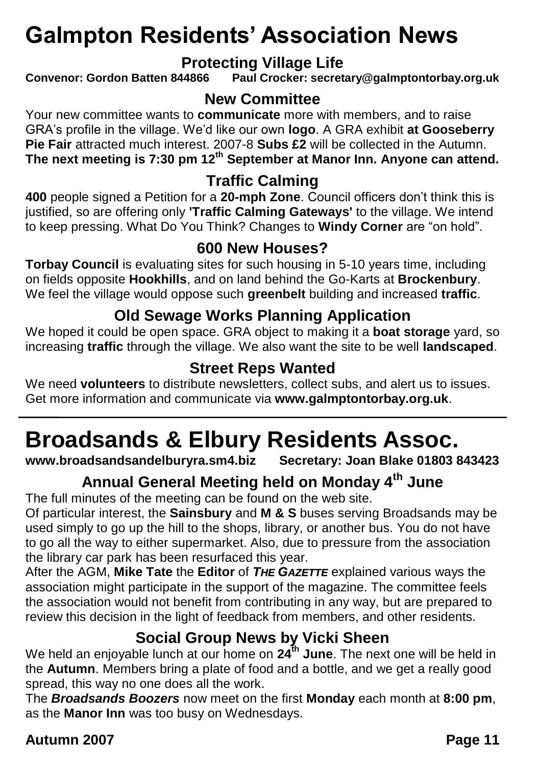## **Galmpton Residents' Association News**

**Protecting Village Life**<br>Convenor: Gordon Batten 844866 Paul Crocker: secret **Convenor: Gordon Batten 844866 Paul Crocker: secretary@galmptontorbay.org.uk**

### **New Committee**

Your new committee wants to **communicate** more with members, and to raise GRA's profile in the village. We'd like our own **logo**. A GRA exhibit **at Gooseberry Pie Fair** attracted much interest. 2007-8 **Subs £2** will be collected in the Autumn. **The next meeting is 7:30 pm 12th September at Manor Inn. Anyone can attend.**

### **Traffic Calming**

**400** people signed a Petition for a **20-mph Zone**. Council officers don't think this is justified, so are offering only **'Traffic Calming Gateways'** to the village. We intend to keep pressing. What Do You Think? Changes to **Windy Corner** are "on hold".

### **600 New Houses?**

**Torbay Council** is evaluating sites for such housing in 5-10 years time, including on fields opposite **Hookhills**, and on land behind the Go-Karts at **Brockenbury**. We feel the village would oppose such **greenbelt** building and increased **traffic**.

### **Old Sewage Works Planning Application**

We hoped it could be open space. GRA object to making it a **boat storage** yard, so increasing **traffic** through the village. We also want the site to be well **landscaped**.

### **Street Reps Wanted**

We need **volunteers** to distribute newsletters, collect subs, and alert us to issues. Get more information and communicate via **www.galmptontorbay.org.uk**.

# **Broadsands & Elbury Residents Assoc.**

**www.broadsandsandelburyra.sm4.biz** 

### **Annual General Meeting held on Monday 4th June**

The full minutes of the meeting can be found on the web site.

Of particular interest, the **Sainsbury** and **M & S** buses serving Broadsands may be used simply to go up the hill to the shops, library, or another bus. You do not have to go all the way to either supermarket. Also, due to pressure from the association the library car park has been resurfaced this year.

After the AGM, **Mike Tate** the **Editor** of *THE GAZETTE* explained various ways the association might participate in the support of the magazine. The committee feels the association would not benefit from contributing in any way, but are prepared to review this decision in the light of feedback from members, and other residents.

### **Social Group News by Vicki Sheen**

We held an enjoyable lunch at our home on **24th June**. The next one will be held in the **Autumn**. Members bring a plate of food and a bottle, and we get a really good spread, this way no one does all the work.

The *Broadsands Boozers* now meet on the first **Monday** each month at **8:00 pm**, as the **Manor Inn** was too busy on Wednesdays.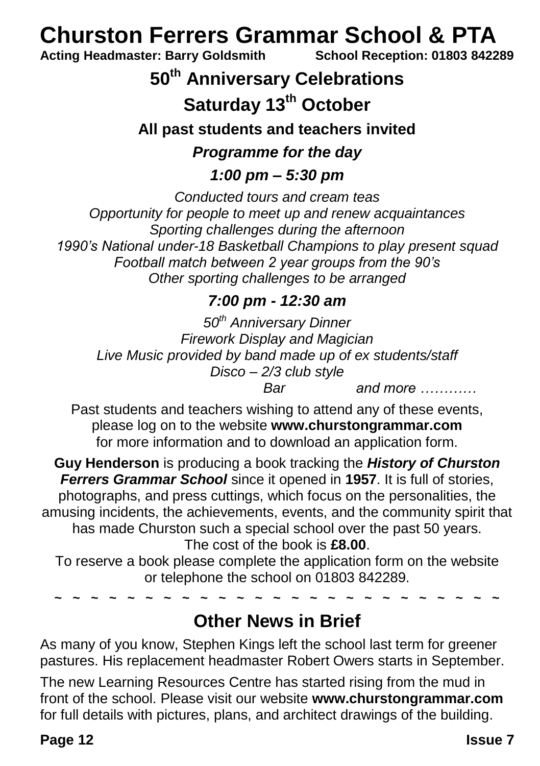# **Churston Ferrers Grammar School & PTA**<br>Acting Headmaster: Barry Goldsmith School Reception: 01803 8422

**Acting Headmaster: Barry Goldsmith School Reception: 01803 842289**

### **50th Anniversary Celebrations**

### **Saturday 13th October**

**All past students and teachers invited**

### *Programme for the day*

*1:00 pm – 5:30 pm*

*Conducted tours and cream teas Opportunity for people to meet up and renew acquaintances Sporting challenges during the afternoon 1990's National under-18 Basketball Champions to play present squad Football match between 2 year groups from the 90's Other sporting challenges to be arranged*

### *7:00 pm - 12:30 am*

*50th Anniversary Dinner Firework Display and Magician Live Music provided by band made up of ex students/staff Disco – 2/3 club style Bar and more …………*

Past students and teachers wishing to attend any of these events, please log on to the website **www.churstongrammar.com** for more information and to download an application form.

**Guy Henderson** is producing a book tracking the *History of Churston Ferrers Grammar School* since it opened in **1957**. It is full of stories, photographs, and press cuttings, which focus on the personalities, the amusing incidents, the achievements, events, and the community spirit that has made Churston such a special school over the past 50 years. The cost of the book is **£8.00**.

To reserve a book please complete the application form on the website or telephone the school on 01803 842289.

**~ ~ ~ ~ ~ ~ ~ ~ ~ ~ ~ ~ ~ ~ ~ ~ ~ ~ ~ ~ ~ ~ ~ ~ ~**

### **Other News in Brief**

As many of you know, Stephen Kings left the school last term for greener pastures. His replacement headmaster Robert Owers starts in September.

The new Learning Resources Centre has started rising from the mud in front of the school. Please visit our website **www.churstongrammar.com** for full details with pictures, plans, and architect drawings of the building.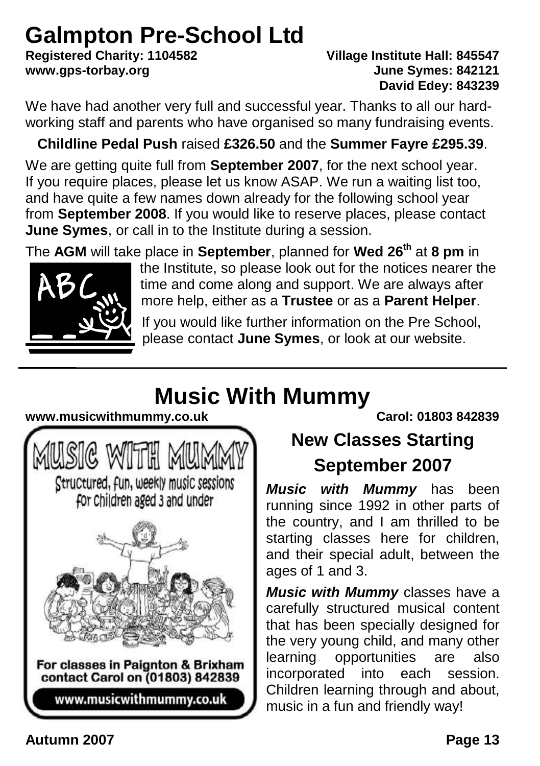# **Galmpton Pre-School Ltd**<br>Registered Charity: 1104582

### **Registered Charity: 1104582 Village Institute Hall: 845547 www.gps-torbay.org June Symes: 842121 David Edey: 843239**

We have had another very full and successful year. Thanks to all our hardworking staff and parents who have organised so many fundraising events.

### **Childline Pedal Push** raised **£326.50** and the **Summer Fayre £295.39**.

We are getting quite full from **September 2007**, for the next school year. If you require places, please let us know ASAP. We run a waiting list too, and have quite a few names down already for the following school year from **September 2008**. If you would like to reserve places, please contact **June Symes**, or call in to the Institute during a session.

The **AGM** will take place in **September**, planned for **Wed 26th** at **8 pm** in



the Institute, so please look out for the notices nearer the time and come along and support. We are always after more help, either as a **Trustee** or as a **Parent Helper**.

If you would like further information on the Pre School, please contact **June Symes**, or look at our website.

## **Music With Mummy**

### **www.musicwithmummy.co.uk Carol: 01803 842839**



## **New Classes Starting September 2007**

*Music with Mummy* has been running since 1992 in other parts of the country, and I am thrilled to be starting classes here for children, and their special adult, between the ages of 1 and 3.

*Music with Mummy* classes have a carefully structured musical content that has been specially designed for the very young child, and many other learning opportunities are also incorporated into each session. Children learning through and about, music in a fun and friendly way!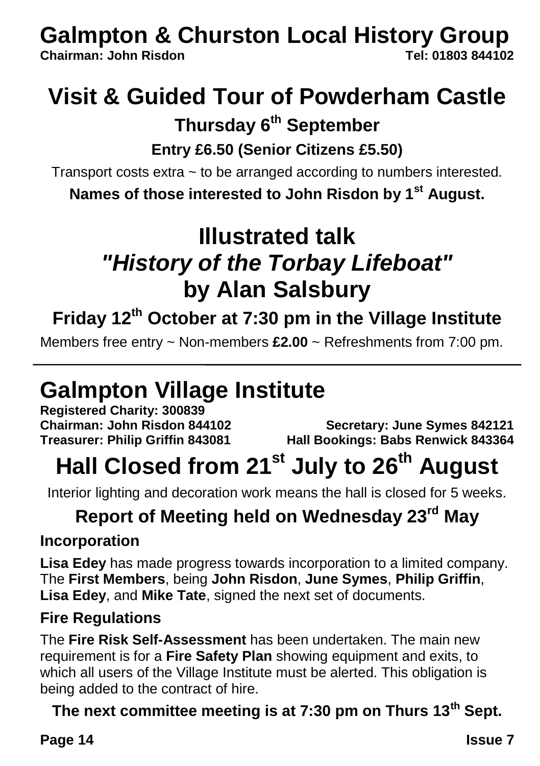# **Galmpton & Churston Local History Group**<br>Chairman: John Risdon

**Chairman: John Risdon Tel: 01803 844102**

## **Visit & Guided Tour of Powderham Castle**

### **Thursday 6th September**

### **Entry £6.50 (Senior Citizens £5.50)**

Transport costs extra ~ to be arranged according to numbers interested.

**Names of those interested to John Risdon by 1st August.**

## **Illustrated talk** *"History of the Torbay Lifeboat"* **by Alan Salsbury**

## **Friday 12th October at 7:30 pm in the Village Institute**

Members free entry ~ Non-members **£2.00** ~ Refreshments from 7:00 pm.

## **Galmpton Village Institute**

**Registered Charity: 300839**

**Chairman: John Risdon 844102 Secretary: June Symes 842121 Treasurer: Philip Griffin 843081 Hall Bookings: Babs Renwick 843364**

## **Hall Closed from 21st July to 26th August**

Interior lighting and decoration work means the hall is closed for 5 weeks.

## **Report of Meeting held on Wednesday 23rd May**

### **Incorporation**

**Lisa Edey** has made progress towards incorporation to a limited company. The **First Members**, being **John Risdon**, **June Symes**, **Philip Griffin**, **Lisa Edey**, and **Mike Tate**, signed the next set of documents.

### **Fire Regulations**

The **Fire Risk Self-Assessment** has been undertaken. The main new requirement is for a **Fire Safety Plan** showing equipment and exits, to which all users of the Village Institute must be alerted. This obligation is being added to the contract of hire.

### **The next committee meeting is at 7:30 pm on Thurs 13th Sept.**

### **Page 14 Issue 7 Issue 7**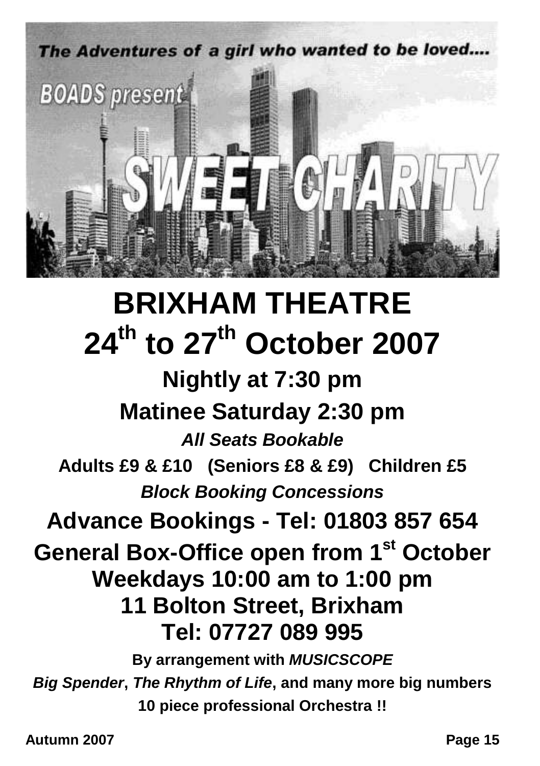

# **BRIXHAM THEATRE 24th to 27th October 2007**

**Nightly at 7:30 pm Matinee Saturday 2:30 pm** *All Seats Bookable* **Adults £9 & £10 (Seniors £8 & £9) Children £5** *Block Booking Concessions* **Advance Bookings - Tel: 01803 857 654 General Box-Office open from 1st October Weekdays 10:00 am to 1:00 pm 11 Bolton Street, Brixham Tel: 07727 089 995 By arrangement with** *MUSICSCOPE Big Spender***,** *The Rhythm of Life***, and many more big numbers**

**10 piece professional Orchestra !!**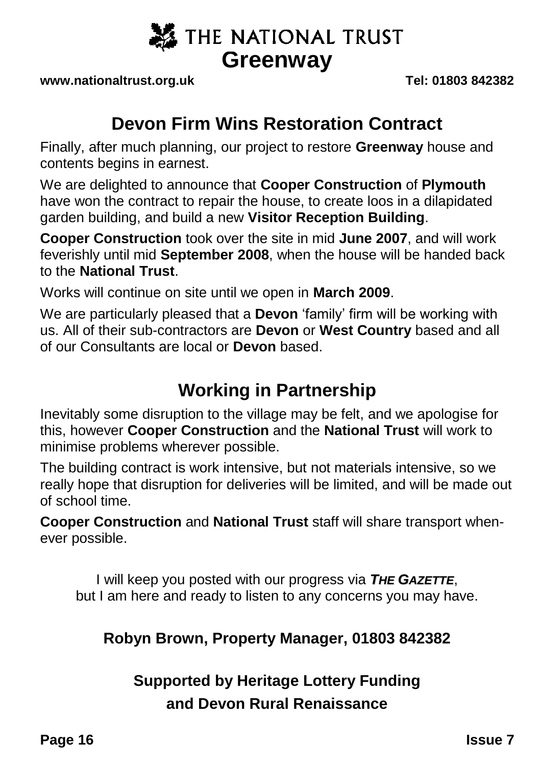

**www.nationaltrust.org.uk Tel: 01803 842382**

### **Devon Firm Wins Restoration Contract**

Finally, after much planning, our project to restore **Greenway** house and contents begins in earnest.

We are delighted to announce that **Cooper Construction** of **Plymouth** have won the contract to repair the house, to create loos in a dilapidated garden building, and build a new **Visitor Reception Building**.

**Cooper Construction** took over the site in mid **June 2007**, and will work feverishly until mid **September 2008**, when the house will be handed back to the **National Trust**.

Works will continue on site until we open in **March 2009**.

We are particularly pleased that a **Devon** 'family' firm will be working with us. All of their sub-contractors are **Devon** or **West Country** based and all of our Consultants are local or **Devon** based.

### **Working in Partnership**

Inevitably some disruption to the village may be felt, and we apologise for this, however **Cooper Construction** and the **National Trust** will work to minimise problems wherever possible.

The building contract is work intensive, but not materials intensive, so we really hope that disruption for deliveries will be limited, and will be made out of school time.

**Cooper Construction** and **National Trust** staff will share transport whenever possible.

I will keep you posted with our progress via *THE GAZETTE*, but I am here and ready to listen to any concerns you may have.

### **Robyn Brown, Property Manager, 01803 842382**

### **Supported by Heritage Lottery Funding and Devon Rural Renaissance**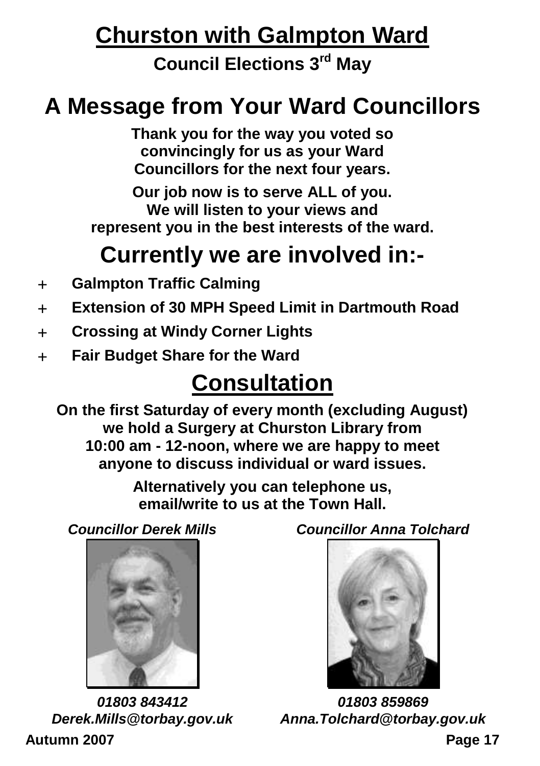## **Churston with Galmpton Ward**

**Council Elections 3rd May**

## **A Message from Your Ward Councillors**

**Thank you for the way you voted so convincingly for us as your Ward Councillors for the next four years.**

**Our job now is to serve ALL of you. We will listen to your views and represent you in the best interests of the ward.**

## **Currently we are involved in:-**

- **Galmpton Traffic Calming**
- **Extension of 30 MPH Speed Limit in Dartmouth Road**
- **Crossing at Windy Corner Lights**
- **Fair Budget Share for the Ward**

## **Consultation**

**On the first Saturday of every month (excluding August) we hold a Surgery at Churston Library from 10:00 am - 12-noon, where we are happy to meet anyone to discuss individual or ward issues.**

> **Alternatively you can telephone us, email/write to us at the Town Hall.**

*Councillor Derek Mills*



**Autumn 2007 Page 17** *01803 843412 Derek.Mills@torbay.gov.uk*

*Councillor Anna Tolchard*



*01803 859869 Anna.Tolchard@torbay.gov.uk*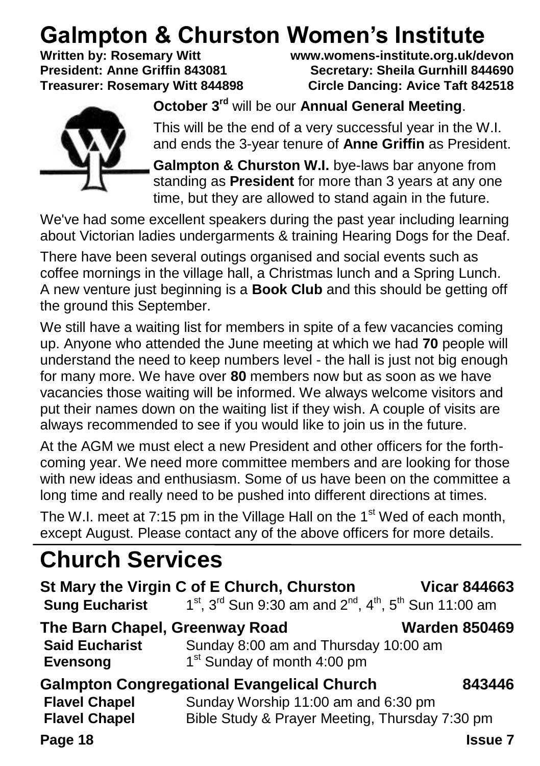# **Galmpton & Churston Women's Institute**<br>Written by: Rosemary Witt Witt Witty Warens-institute.org.uk/do

**Written by: Rosemary Witt www.womens-institute.org.uk/devon President: Anne Griffin 843081 Secretary: Sheila Gurnhill 844690 Circle Dancing: Avice Taft 842518** 



**October 3rd** will be our **Annual General Meeting**.

This will be the end of a very successful year in the W.I. and ends the 3-year tenure of **Anne Griffin** as President.

**Galmpton & Churston W.I.** bye-laws bar anyone from standing as **President** for more than 3 years at any one time, but they are allowed to stand again in the future.

We've had some excellent speakers during the past year including learning about Victorian ladies undergarments & training Hearing Dogs for the Deaf.

There have been several outings organised and social events such as coffee mornings in the village hall, a Christmas lunch and a Spring Lunch. A new venture just beginning is a **Book Club** and this should be getting off the ground this September.

We still have a waiting list for members in spite of a few vacancies coming up. Anyone who attended the June meeting at which we had **70** people will understand the need to keep numbers level - the hall is just not big enough for many more. We have over **80** members now but as soon as we have vacancies those waiting will be informed. We always welcome visitors and put their names down on the waiting list if they wish. A couple of visits are always recommended to see if you would like to join us in the future.

At the AGM we must elect a new President and other officers for the forthcoming year. We need more committee members and are looking for those with new ideas and enthusiasm. Some of us have been on the committee a long time and really need to be pushed into different directions at times.

The W.I. meet at 7:15 pm in the Village Hall on the  $1<sup>st</sup>$  Wed of each month, except August. Please contact any of the above officers for more details.

## **Church Services**

| <b>Sung Eucharist</b>                    | St Mary the Virgin C of E Church, Churston<br>$1^{st}$ , $3^{rd}$ Sun 9:30 am and $2^{nd}$ , $4^{th}$ , $5^{th}$ Sun 11:00 am | <b>Vicar 844663</b>  |
|------------------------------------------|-------------------------------------------------------------------------------------------------------------------------------|----------------------|
| The Barn Chapel, Greenway Road           |                                                                                                                               | <b>Warden 850469</b> |
| <b>Said Eucharist</b><br><b>Evensong</b> | Sunday 8:00 am and Thursday 10:00 am<br>1 <sup>st</sup> Sunday of month 4:00 pm                                               |                      |
|                                          | <b>Galmpton Congregational Evangelical Church</b>                                                                             | 843446               |
| <b>Flavel Chapel</b>                     | Sunday Worship 11:00 am and 6:30 pm                                                                                           |                      |
| <b>Flavel Chapel</b>                     | Bible Study & Prayer Meeting, Thursday 7:30 pm                                                                                |                      |
| Page 18                                  |                                                                                                                               | Issue 7              |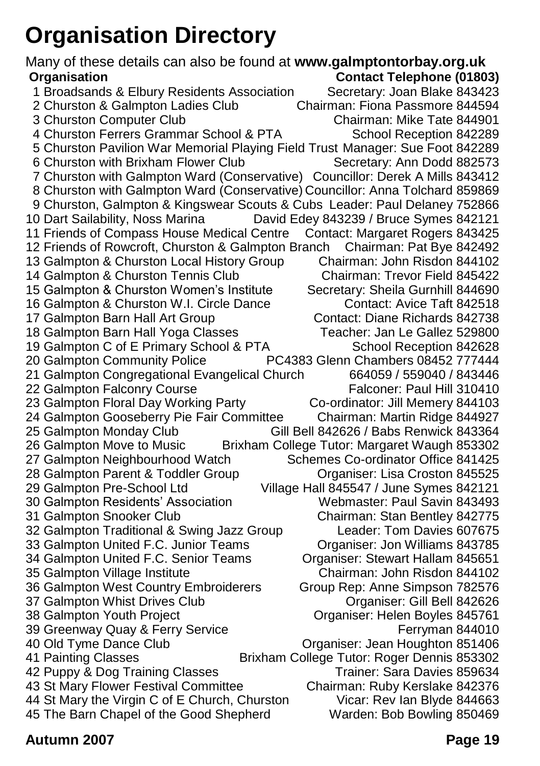## <span id="page-18-0"></span>**Organisation Directory**

Many of these details can also be found at **www.galmptontorbay.org.uk Organisation Contact Telephone (01803)** 1 Broadsands & Elbury Residents Association Secretary: Joan Blake 843423<br>2 Churston & Galmpton Ladies Club (Chairman: Fiona Passmore 844594) 2 Churston & Galmpton Ladies Club Chairman: Fiona Passmore 844594 3 Churston Computer Club 4 Churston Ferrers Grammar School & PTA School Reception 842289 5 Churston Pavilion War Memorial Playing Field Trust Manager: Sue Foot 842289 6 Churston with Brixham Flower Club 7 Churston with Galmpton Ward (Conservative) Councillor: Derek A Mills 843412 8 Churston with Galmpton Ward (Conservative) Councillor: Anna Tolchard 859869 9 Churston, Galmpton & Kingswear Scouts & Cubs Leader: Paul Delaney 752866<br>10 Dart Sailability, Noss Marina David Edey 843239 / Bruce Symes 842121 David Edey 843239 / Bruce Symes 842121 11 Friends of Compass House Medical Centre Contact: Margaret Rogers 843425<br>12 Friends of Rowcroft, Churston & Galmpton Branch Chairman: Pat Bye 842492 12 Friends of Rowcroft, Churston & Galmpton Branch Chairman: Pat Bye 842492 13 Galmpton & Churston Local History Group Chairman: John Risdon 844102<br>14 Galmpton & Churston Tennis Club Chairman: Trevor Field 845422 14 Galmpton & Churston Tennis Club 15 Galmpton & Churston Women's Institute Secretary: Sheila Gurnhill 844690 16 Galmpton & Churston W.I. Circle Dance Contact: Avice Taft 842518 17 Galmpton Barn Hall Art Group Contact: Diane Richards 842738<br>18 Galmpton Barn Hall Yoga Classes Charle Teacher: Jan Le Gallez 529800 18 Galmpton Barn Hall Yoga Classes 19 Galmpton C of E Primary School & PTA School Reception 842628<br>20 Galmpton Community Police PC4383 Glenn Chambers 08452 777444 PC4383 Glenn Chambers 08452 777444<br>Church 664059 / 559040 / 843446 21 Galmpton Congregational Evangelical Church 22 Galmpton Falconry Course Falconer: Paul Hill 310410<br>23 Galmpton Floral Day Working Party Farty Co-ordinator: Jill Memery 844103 23 Galmpton Floral Day Working Party 24 Galmpton Gooseberry Pie Fair Committee Chairman: Martin Ridge 844927 Gill Bell 842626 / Babs Renwick 843364 26 Galmpton Move to Music Brixham College Tutor: Margaret Waugh 853302 27 Galmpton Neighbourhood Watch Schemes Co-ordinator Office 841425 28 Galmpton Parent & Toddler Group Croaniser: Lisa Croston 845525 29 Galmpton Pre-School Ltd Village Hall 845547 / June Symes 842121 30 Galmpton Residents' Association 31 Galmpton Snooker Club Chairman: Stan Bentley 842775<br>32 Galmpton Traditional & Swing Jazz Group Chairman: Tom Davies 607675 32 Galmpton Traditional & Swing Jazz Group 33 Galmpton United F.C. Junior Teams Organiser: Jon Williams 843785 34 Galmpton United F.C. Senior Teams Organiser: Stewart Hallam 845651 35 Galmpton Village Institute Chairman: John Risdon 844102 36 Galmpton West Country Embroiderers Group Rep: Anne Simpson 782576 37 Galmpton Whist Drives Club **Club Communist Club Communist Club** Organiser: Gill Bell 842626<br>38 Galmpton Youth Project **Club Communist Communist** Communist Club Communist Club Communist Club Communist Club Organiser: Helen Boyles 845761 39 Greenway Quay & Ferry Service Ferryman 844010 40 Old Tyme Dance Club Organiser: Jean Houghton 851406 41 Painting Classes Brixham College Tutor: Roger Dennis 853302 42 Puppy & Dog Training Classes 43 St Mary Flower Festival Committee Chairman: Ruby Kerslake 842376 44 St Mary the Virgin C of E Church, Churston Vicar: Rev Ian Blyde 844663 45 The Barn Chapel of the Good Shepherd Warden: Bob Bowling 850469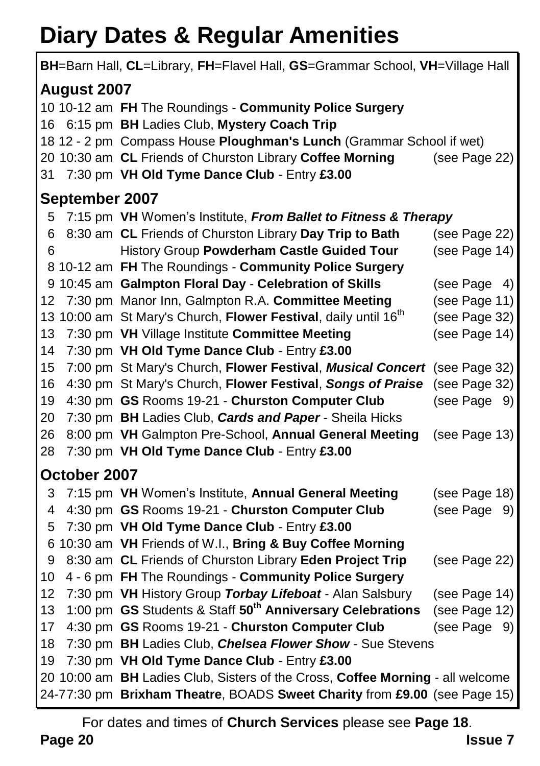## **Diary Dates & Regular Amenities**

| BH=Barn Hall, CL=Library, FH=Flavel Hall, GS=Grammar School, VH=Village Hall   |                                                                             |               |  |
|--------------------------------------------------------------------------------|-----------------------------------------------------------------------------|---------------|--|
| August 2007                                                                    |                                                                             |               |  |
|                                                                                | 10 10-12 am FH The Roundings - Community Police Surgery                     |               |  |
| 16 -                                                                           | 6:15 pm BH Ladies Club, Mystery Coach Trip                                  |               |  |
|                                                                                | 18 12 - 2 pm Compass House Ploughman's Lunch (Grammar School if wet)        |               |  |
|                                                                                | 20 10:30 am CL Friends of Churston Library Coffee Morning                   | (see Page 22) |  |
| 31                                                                             | 7:30 pm VH Old Tyme Dance Club - Entry £3.00                                |               |  |
| September 2007                                                                 |                                                                             |               |  |
| 5                                                                              | 7:15 pm VH Women's Institute, From Ballet to Fitness & Therapy              |               |  |
| 6                                                                              | 8:30 am CL Friends of Churston Library Day Trip to Bath                     | (see Page 22) |  |
| 6                                                                              | History Group Powderham Castle Guided Tour                                  | (see Page 14) |  |
|                                                                                | 8 10-12 am FH The Roundings - Community Police Surgery                      |               |  |
|                                                                                | 9 10:45 am Galmpton Floral Day - Celebration of Skills                      | (see Page 4)  |  |
| 12                                                                             | 7:30 pm Manor Inn, Galmpton R.A. Committee Meeting                          | (see Page 11) |  |
|                                                                                | 13 10:00 am St Mary's Church, Flower Festival, daily until 16 <sup>th</sup> | (see Page 32) |  |
| 13                                                                             | 7:30 pm VH Village Institute Committee Meeting                              | (see Page 14) |  |
| 14                                                                             | 7:30 pm VH Old Tyme Dance Club - Entry £3.00                                |               |  |
| 15                                                                             | 7:00 pm St Mary's Church, Flower Festival, Musical Concert (see Page 32)    |               |  |
| 16                                                                             | 4:30 pm St Mary's Church, Flower Festival, Songs of Praise                  | (see Page 32) |  |
| 19                                                                             | 4:30 pm GS Rooms 19-21 - Churston Computer Club                             | (see Page 9)  |  |
| 20                                                                             | 7:30 pm BH Ladies Club, Cards and Paper - Sheila Hicks                      |               |  |
| 26                                                                             | 8:00 pm VH Galmpton Pre-School, Annual General Meeting                      | (see Page 13) |  |
| 28                                                                             | 7:30 pm VH Old Tyme Dance Club - Entry £3.00                                |               |  |
| October 2007                                                                   |                                                                             |               |  |
| 3                                                                              | 7:15 pm VH Women's Institute, Annual General Meeting                        | (see Page 18) |  |
| 4                                                                              | 4:30 pm GS Rooms 19-21 - Churston Computer Club                             | (see Page 9)  |  |
| 5                                                                              | 7:30 pm VH Old Tyme Dance Club - Entry £3.00                                |               |  |
|                                                                                | 6 10:30 am VH Friends of W.I., Bring & Buy Coffee Morning                   |               |  |
| 9                                                                              | 8:30 am CL Friends of Churston Library Eden Project Trip                    | (see Page 22) |  |
| 10                                                                             | 4 - 6 pm FH The Roundings - Community Police Surgery                        |               |  |
| 12                                                                             | 7:30 pm VH History Group Torbay Lifeboat - Alan Salsbury                    | (see Page 14) |  |
| 13                                                                             | 1:00 pm GS Students & Staff 50 <sup>th</sup> Anniversary Celebrations       | (see Page 12) |  |
| 17                                                                             | 4:30 pm GS Rooms 19-21 - Churston Computer Club                             | (see Page 9)  |  |
| 18                                                                             | 7:30 pm BH Ladies Club, Chelsea Flower Show - Sue Stevens                   |               |  |
| 19<br>7:30 pm VH Old Tyme Dance Club - Entry £3.00                             |                                                                             |               |  |
| 20 10:00 am BH Ladies Club, Sisters of the Cross, Coffee Morning - all welcome |                                                                             |               |  |
|                                                                                | 24-77:30 pm Brixham Theatre, BOADS Sweet Charity from £9.00 (see Page 15)   |               |  |

**Page 20 Issue 7** For dates and times of **Church Services** please see **Page 18**.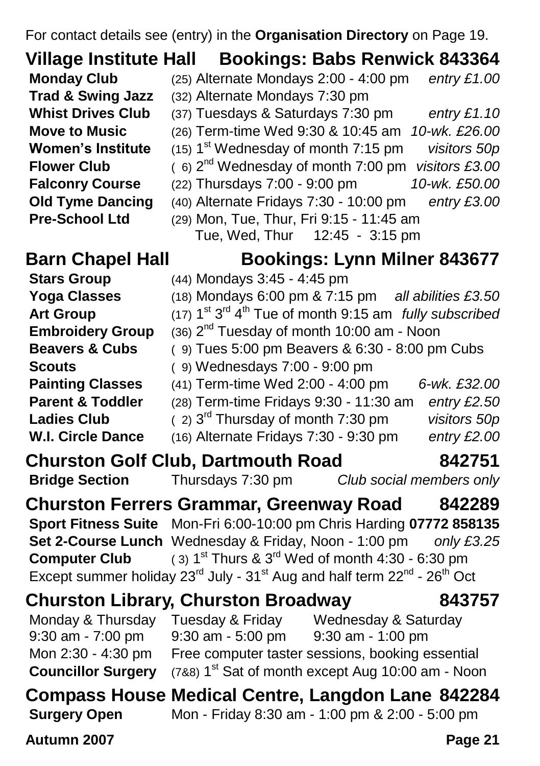For contact details see (entry) in the **Organisation Directory** on Page [19.](#page-18-0)

### **Village Institute Hall Bookings: Babs Renwick 843364**

- **Monday Club** (25) Alternate Mondays 2:00 4:00 pm *entry £1.00*
- **Trad & Swing Jazz** (32) Alternate Mondays 7:30 pm
- **Whist Drives Club** (37) Tuesdays & Saturdays 7:30 pm *entry £1.10*
- **Move to Music** (26) Term-time Wed 9:30 & 10:45 am *10-wk. £26.00*
	- st Wednesday of month 7:15 pm *visitors 50p*
	- nd Wednesday of month 7:00 pm *visitors £3.00*
- **Falconry Course** (22) Thursdays 7:00 9:00 pm *10-wk. £50.00*
- **Old Tyme Dancing** (40) Alternate Fridays 7:30 10:00 pm *entry £3.00*
- **Pre-School Ltd** (29) Mon, Tue, Thur, Fri 9:15 11:45 am Tue, Wed, Thur 12:45 - 3:15 pm

**Embroidery Group** 

**Women's Institute** 

**Flower Club** 

**Art Group** 

**Ladies Club** 

### **Barn Chapel Hall Bookings: Lynn Milner 843677**

- **Stars Group** (44) Mondays 3:45 4:45 pm
- **Yoga Classes** (18) Mondays 6:00 pm & 7:15 pm *all abilities £3.50*
	- <sup>st 3rd</sup> 4<sup>th</sup> Tue of month 9:15 am *fully subscribed* 
		- $(36)$   $2<sup>nd</sup>$  Tuesday of month 10:00 am Noon
- **Beavers & Cubs** ( 9) Tues 5:00 pm Beavers & 6:30 8:00 pm Cubs
- **Scouts** ( 9) Wednesdays 7:00 9:00 pm
- **Painting Classes** (41) Term-time Wed 2:00 4:00 pm *6-wk. £32.00*
- **Parent & Toddler** (28) Term-time Fridays 9:30 11:30 am *entry £2.50*
	- rd Thursday of month 7:30 pm *visitors 50p*
- **W.I. Circle Dance** (16) Alternate Fridays 7:30 9:30 pm *entry £2.00*
- **Churston Golf Club, Dartmouth Road 842751**

```
Bridge Section Thursdays 7:30 pm Club social members only
```
**Churston Ferrers Grammar, Greenway Road 842289 Sport Fitness Suite** Mon-Fri 6:00-10:00 pm Chris Harding **07772 858135 Set 2-Course Lunch** Wednesday & Friday, Noon - 1:00 pm *only £3.25* **Computer Club**  $(3)$  1<sup>st</sup> Thurs & 3<sup>rd</sup> Wed of month 4:30 - 6:30 pm Except summer holiday 23<sup>rd</sup> July - 31<sup>st</sup> Aug and half term 22<sup>nd</sup> - 26<sup>th</sup> Oct

### **Churston Library, Churston Broadway 843757**

Monday & Thursday Tuesday & Friday Wednesday & Saturday 9:30 am - 7:00 pm 9:30 am - 5:00 pm 9:30 am - 1:00 pm Mon 2:30 - 4:30 pm Free computer taster sessions, booking essential **Councillor Surgery**  $(788)$  1<sup>st</sup> Sat of month except Aug 10:00 am - Noon

### **Compass House Medical Centre, Langdon Lane 842284 Surgery Open** Mon - Friday 8:30 am - 1:00 pm & 2:00 - 5:00 pm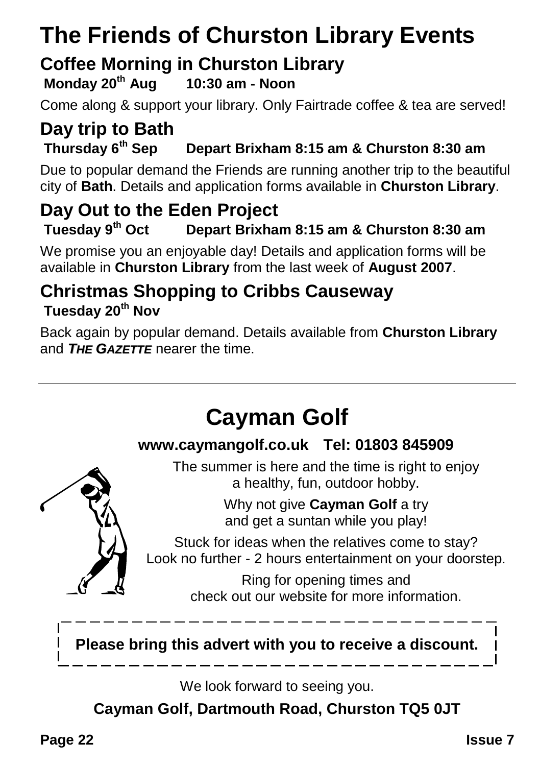## **The Friends of Churston Library Events**

# **Coffee Morning in Churston Library**<br>Monday 20<sup>th</sup> Aug 10:30 am - Noon

**Monday 20<sup>th</sup> Aug** 

Come along & support your library. Only Fairtrade coffee & tea are served!

### **Day trip to Bath Thursday 6th Sep Depart Brixham 8:15 am & Churston 8:30 am**

Due to popular demand the Friends are running another trip to the beautiful city of **Bath**. Details and application forms available in **Churston Library**.

### **Day Out to the Eden Project**<br>Tuesday 9<sup>th</sup> Oct Depart Brixha **Tuesday 9th Oct Depart Brixham 8:15 am & Churston 8:30 am**

We promise you an enjoyable day! Details and application forms will be available in **Churston Library** from the last week of **August 2007**.

### **Christmas Shopping to Cribbs Causeway Tuesday 20th Nov**

Back again by popular demand. Details available from **Churston Library** and *THE GAZETTE* nearer the time.



We look forward to seeing you.

**Cayman Golf, Dartmouth Road, Churston TQ5 0JT**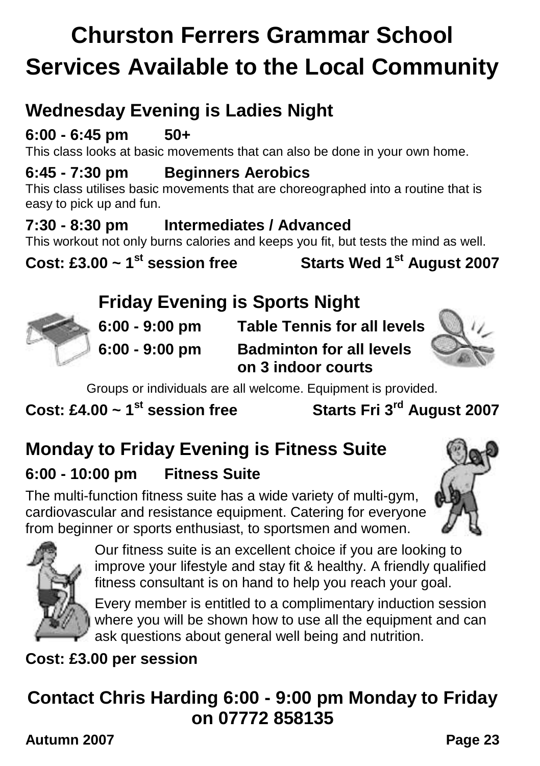## **Churston Ferrers Grammar School Services Available to the Local Community**

## **Wednesday Evening is Ladies Night**

### **6:00 - 6:45 pm 50+**

This class looks at basic movements that can also be done in your own home.

### **6:45 - 7:30 pm Beginners Aerobics**

This class utilises basic movements that are choreographed into a routine that is easy to pick up and fun.

### **7:30 - 8:30 pm Intermediates / Advanced**

This workout not only burns calories and keeps you fit, but tests the mind as well.

**Cost: £3.00 ~ 1st session free Starts Wed 1st August 2007**

### **Friday Evening is Sports Night**



**6:00 - 9:00 pm Table Tennis for all levels 6:00 - 9:00 pm Badminton for all levels on 3 indoor courts**



Groups or individuals are all welcome. Equipment is provided.

**Cost: £4.00 ~ 1st session free Starts Fri 3rd August 2007**

## **Monday to Friday Evening is Fitness Suite**

### **6:00 - 10:00 pm Fitness Suite**

The multi-function fitness suite has a wide variety of multi-gym, cardiovascular and resistance equipment. Catering for everyone from beginner or sports enthusiast, to sportsmen and women.





Our fitness suite is an excellent choice if you are looking to improve your lifestyle and stay fit & healthy. A friendly qualified fitness consultant is on hand to help you reach your goal.

Every member is entitled to a complimentary induction session where you will be shown how to use all the equipment and can ask questions about general well being and nutrition.

**Cost: £3.00 per session**

## **Contact Chris Harding 6:00 - 9:00 pm Monday to Friday on 07772 858135**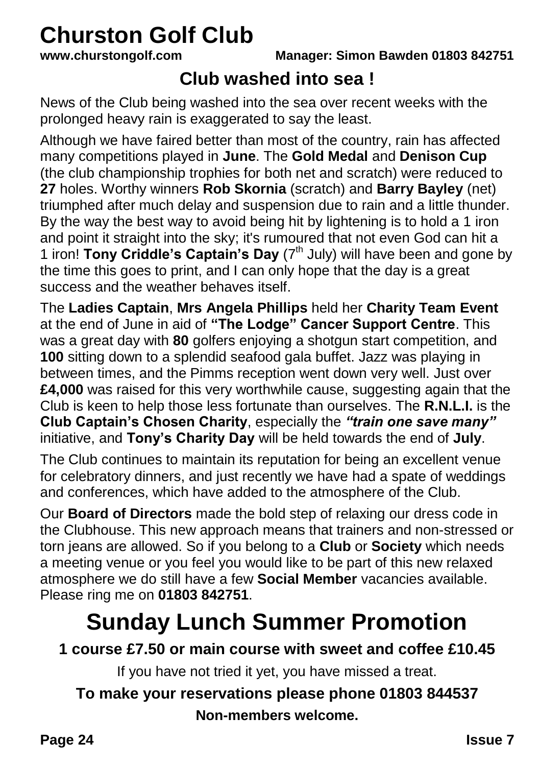# **Churston Golf Club**<br>www.churstongolf.com

### **Club washed into sea !**

News of the Club being washed into the sea over recent weeks with the prolonged heavy rain is exaggerated to say the least.

Although we have faired better than most of the country, rain has affected many competitions played in **June**. The **Gold Medal** and **Denison Cup** (the club championship trophies for both net and scratch) were reduced to **27** holes. Worthy winners **Rob Skornia** (scratch) and **Barry Bayley** (net) triumphed after much delay and suspension due to rain and a little thunder. By the way the best way to avoid being hit by lightening is to hold a 1 iron and point it straight into the sky; it's rumoured that not even God can hit a 1 iron! **Tony Criddle's Captain's Day** (7<sup>th</sup> July) will have been and gone by the time this goes to print, and I can only hope that the day is a great success and the weather behaves itself.

The **Ladies Captain**, **Mrs Angela Phillips** held her **Charity Team Event** at the end of June in aid of **"The Lodge" Cancer Support Centre**. This was a great day with **80** golfers enjoying a shotgun start competition, and **100** sitting down to a splendid seafood gala buffet. Jazz was playing in between times, and the Pimms reception went down very well. Just over **£4,000** was raised for this very worthwhile cause, suggesting again that the Club is keen to help those less fortunate than ourselves. The **R.N.L.I.** is the **Club Captain's Chosen Charity**, especially the *"train one save many"* initiative, and **Tony's Charity Day** will be held towards the end of **July**.

The Club continues to maintain its reputation for being an excellent venue for celebratory dinners, and just recently we have had a spate of weddings and conferences, which have added to the atmosphere of the Club.

Our **Board of Directors** made the bold step of relaxing our dress code in the Clubhouse. This new approach means that trainers and non-stressed or torn jeans are allowed. So if you belong to a **Club** or **Society** which needs a meeting venue or you feel you would like to be part of this new relaxed atmosphere we do still have a few **Social Member** vacancies available. Please ring me on **01803 842751**.

## **Sunday Lunch Summer Promotion**

**1 course £7.50 or main course with sweet and coffee £10.45**

If you have not tried it yet, you have missed a treat.

### **To make your reservations please phone 01803 844537**

**Non-members welcome.**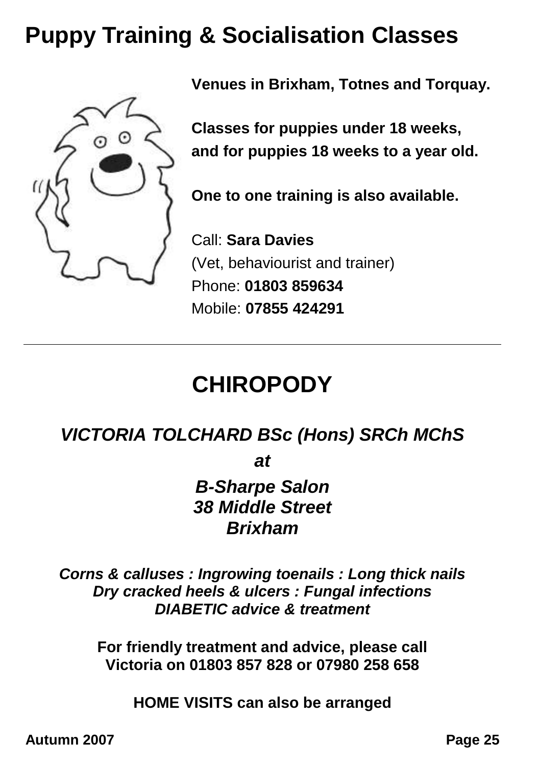## **Puppy Training & Socialisation Classes**



**Venues in Brixham, Totnes and Torquay.**

**Classes for puppies under 18 weeks, and for puppies 18 weeks to a year old.**

**One to one training is also available.**

Call: **Sara Davies** (Vet, behaviourist and trainer) Phone: **01803 859634** Mobile: **07855 424291**

## **CHIROPODY**

### *VICTORIA TOLCHARD BSc (Hons) SRCh MChS*

*at*

*B-Sharpe Salon 38 Middle Street Brixham*

*Corns & calluses : Ingrowing toenails : Long thick nails Dry cracked heels & ulcers : Fungal infections DIABETIC advice & treatment*

**For friendly treatment and advice, please call Victoria on 01803 857 828 or 07980 258 658**

**HOME VISITS can also be arranged**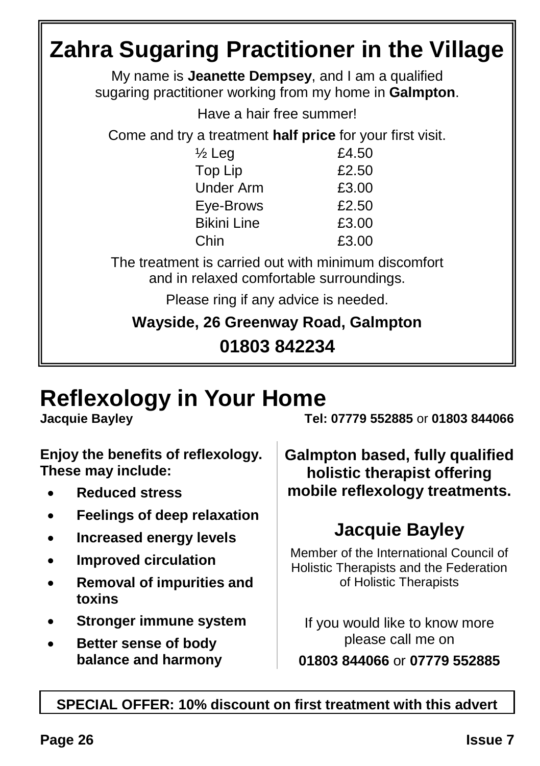### **Zahra Sugaring Practitioner in the Village** My name is **Jeanette Dempsey**, and I am a qualified sugaring practitioner working from my home in **Galmpton**. Have a hair free summer! Come and try a treatment **half price** for your first visit.  $\frac{1}{2}$  Leg  $\frac{2}{10}$  E4.50 Top Lip 62.50 Under Arm  $f3.00$ Eye-Brows £2.50 Bikini Line £3.00 Chin £3.00 The treatment is carried out with minimum discomfort and in relaxed comfortable surroundings. Please ring if any advice is needed. **Wayside, 26 Greenway Road, Galmpton 01803 842234**

## **Reflexology in Your Home**

**Enjoy the benefits of reflexology. These may include:**

- **Reduced stress**
- **Feelings of deep relaxation**
- **Increased energy levels**
- **Improved circulation**
- **Removal of impurities and toxins**
- **Stronger immune system**
- **Better sense of body balance and harmony**

**Jacquie Bayley Tel: 07779 552885** or **01803 844066**

**Galmpton based, fully qualified holistic therapist offering mobile reflexology treatments.**

## **Jacquie Bayley**

Member of the International Council of Holistic Therapists and the Federation of Holistic Therapists

If you would like to know more please call me on **01803 844066** or **07779 552885**

### **SPECIAL OFFER: 10% discount on first treatment with this advert**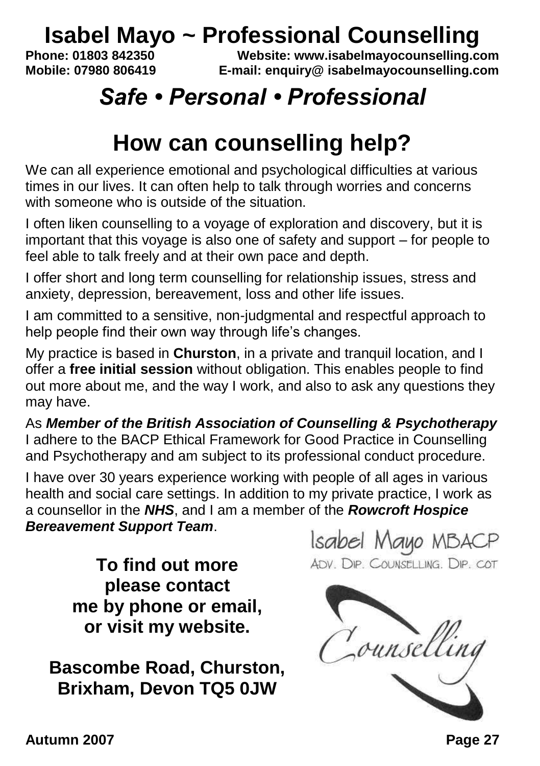# **Isabel Mayo ~ Professional Counselling**<br>Phone: 01803 842350<br>Website: www.jsabelmayocounselling.co

**Phone: 01803 842350 Website: www.isabelmayocounselling.com Mobile: 07980 806419 E-mail: enquiry@ isabelmayocounselling.com**

## *Safe • Personal • Professional*

## **How can counselling help?**

We can all experience emotional and psychological difficulties at various times in our lives. It can often help to talk through worries and concerns with someone who is outside of the situation.

I often liken counselling to a voyage of exploration and discovery, but it is important that this voyage is also one of safety and support – for people to feel able to talk freely and at their own pace and depth.

I offer short and long term counselling for relationship issues, stress and anxiety, depression, bereavement, loss and other life issues.

I am committed to a sensitive, non-judgmental and respectful approach to help people find their own way through life's changes.

My practice is based in **Churston**, in a private and tranquil location, and I offer a **free initial session** without obligation. This enables people to find out more about me, and the way I work, and also to ask any questions they may have.

As *Member of the British Association of Counselling & Psychotherapy* I adhere to the BACP Ethical Framework for Good Practice in Counselling and Psychotherapy and am subject to its professional conduct procedure.

I have over 30 years experience working with people of all ages in various health and social care settings. In addition to my private practice, I work as a counsellor in the *NHS*, and I am a member of the *Rowcroft Hospice Bereavement Support Team*.

**To find out more please contact me by phone or email, or visit my website.**

**Bascombe Road, Churston, Brixham, Devon TQ5 0JW**

Isabel Mayo MBACP ADV. DIP. COUNSELLING. DIP. COT

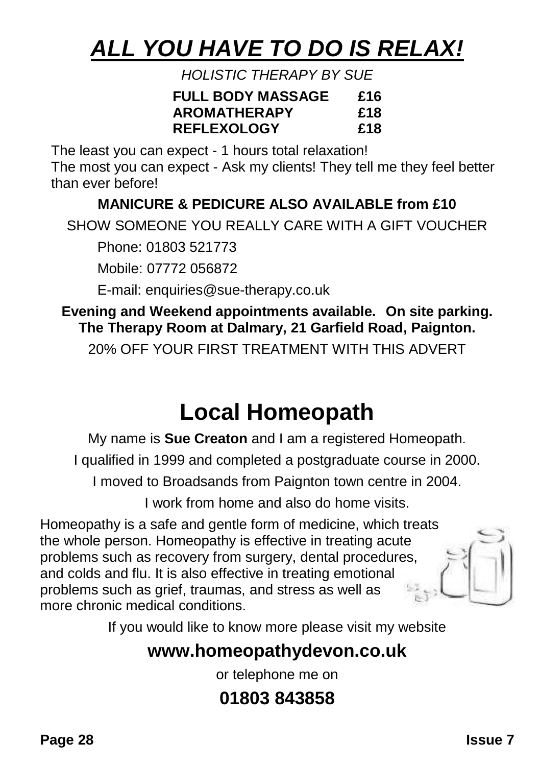## *ALL YOU HAVE TO DO IS RELAX!*

*HOLISTIC THERAPY BY SUE*

| <b>FULL BODY MASSAGE</b> | £16 |
|--------------------------|-----|
| AROMATHERAPY             | £18 |
| <b>REFLEXOLOGY</b>       | £18 |

The least you can expect - 1 hours total relaxation!

The most you can expect - Ask my clients! They tell me they feel better than ever before!

### **MANICURE & PEDICURE ALSO AVAILABLE from £10**

SHOW SOMEONE YOU REALLY CARE WITH A GIFT VOUCHER

Phone: 01803 521773

Mobile: 07772 056872

E-mail: enquiries@sue-therapy.co.uk

**Evening and Weekend appointments available. On site parking. The Therapy Room at Dalmary, 21 Garfield Road, Paignton.**

20% OFF YOUR FIRST TREATMENT WITH THIS ADVERT

## **Local Homeopath**

My name is **Sue Creaton** and I am a registered Homeopath.

I qualified in 1999 and completed a postgraduate course in 2000.

I moved to Broadsands from Paignton town centre in 2004.

I work from home and also do home visits.

Homeopathy is a safe and gentle form of medicine, which treats the whole person. Homeopathy is effective in treating acute problems such as recovery from surgery, dental procedures, and colds and flu. It is also effective in treating emotional problems such as grief, traumas, and stress as well as more chronic medical conditions.

If you would like to know more please visit my website

### **www.homeopathydevon.co.uk**

or telephone me on

## **01803 843858**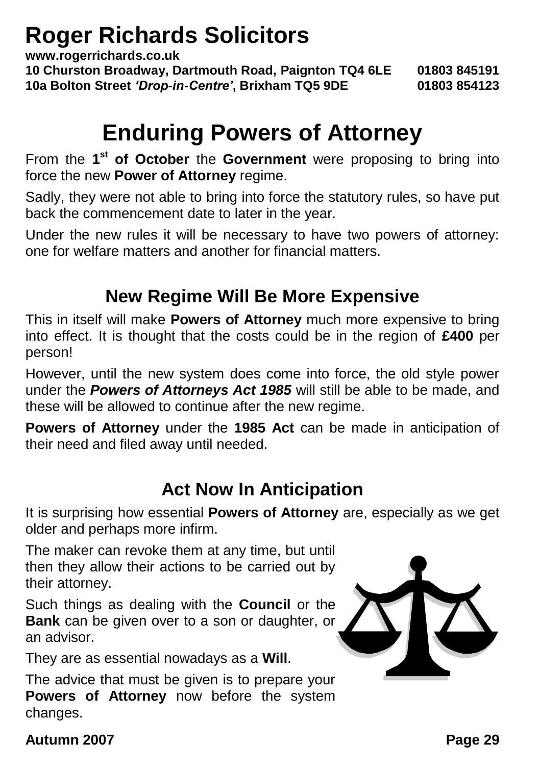## **Roger Richards Solicitors**

**www.rogerrichards.co.uk**

**10 Churston Broadway, Dartmouth Road, Paignton TQ4 6LE 01803 845191 10a Bolton Street** *'Drop-in-Centre'***, Brixham TQ5 9DE 01803 854123**

## **Enduring Powers of Attorney**

From the 1<sup>st</sup> of October the Government were proposing to bring into force the new **Power of Attorney** regime.

Sadly, they were not able to bring into force the statutory rules, so have put back the commencement date to later in the year.

Under the new rules it will be necessary to have two powers of attorney: one for welfare matters and another for financial matters.

### **New Regime Will Be More Expensive**

This in itself will make **Powers of Attorney** much more expensive to bring into effect. It is thought that the costs could be in the region of **£400** per person!

However, until the new system does come into force, the old style power under the *Powers of Attorneys Act 1985* will still be able to be made, and these will be allowed to continue after the new regime.

**Powers of Attorney** under the **1985 Act** can be made in anticipation of their need and filed away until needed.

### **Act Now In Anticipation**

It is surprising how essential **Powers of Attorney** are, especially as we get older and perhaps more infirm.

The maker can revoke them at any time, but until then they allow their actions to be carried out by their attorney.

Such things as dealing with the **Council** or the **Bank** can be given over to a son or daughter, or an advisor.

They are as essential nowadays as a **Will**.

The advice that must be given is to prepare your **Powers of Attorney** now before the system changes.

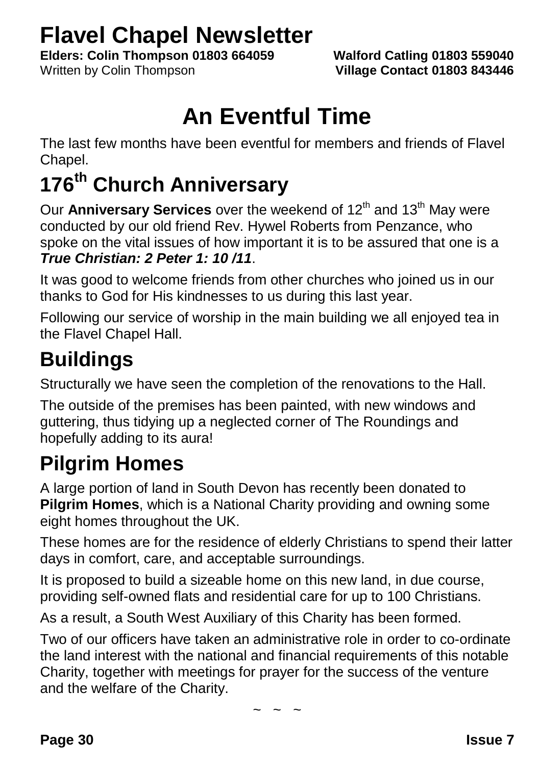## **Flavel Chapel Newsletter**

**Elders: Colin Thompson 01803 664059 Walford Catling 01803 559040**

Written by Colin Thompson **Village Contact 01803 843446**

## **An Eventful Time**

The last few months have been eventful for members and friends of Flavel Chapel.

## **176th Church Anniversary**

Our **Anniversary Services** over the weekend of 12<sup>th</sup> and 13<sup>th</sup> May were conducted by our old friend Rev. Hywel Roberts from Penzance, who spoke on the vital issues of how important it is to be assured that one is a *True Christian: 2 Peter 1: 10 /11*.

It was good to welcome friends from other churches who joined us in our thanks to God for His kindnesses to us during this last year.

Following our service of worship in the main building we all enjoyed tea in the Flavel Chapel Hall.

## **Buildings**

Structurally we have seen the completion of the renovations to the Hall.

The outside of the premises has been painted, with new windows and guttering, thus tidying up a neglected corner of The Roundings and hopefully adding to its aura!

## **Pilgrim Homes**

A large portion of land in South Devon has recently been donated to **Pilgrim Homes**, which is a National Charity providing and owning some eight homes throughout the UK.

These homes are for the residence of elderly Christians to spend their latter days in comfort, care, and acceptable surroundings.

It is proposed to build a sizeable home on this new land, in due course, providing self-owned flats and residential care for up to 100 Christians.

As a result, a South West Auxiliary of this Charity has been formed.

Two of our officers have taken an administrative role in order to co-ordinate the land interest with the national and financial requirements of this notable Charity, together with meetings for prayer for the success of the venture and the welfare of the Charity.

 $\sim$  ~ ~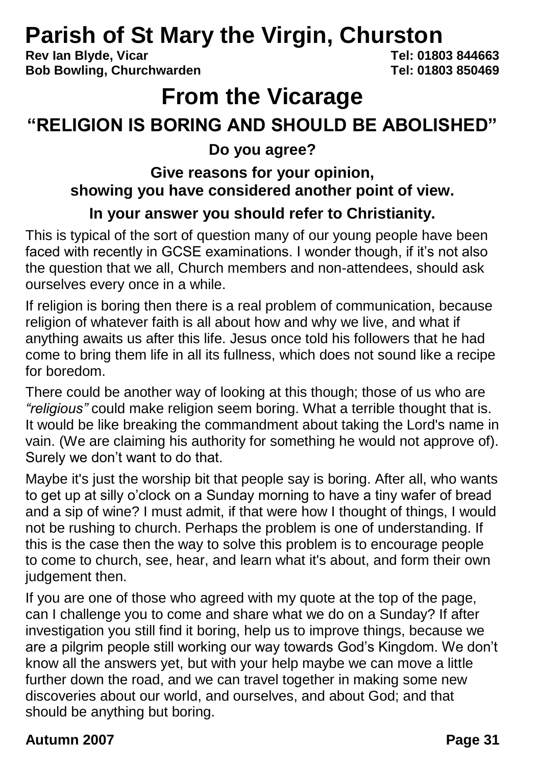# **Parish of St Mary the Virgin, Churston**<br>Rev.lan Blyde, Vicar

**Rev Ian Blyde, Vicar Bob Bowling, Churchwarden Tel: 01803 850469**

## **From the Vicarage**

## **"RELIGION IS BORING AND SHOULD BE ABOLISHED"**

**Do you agree?**

### **Give reasons for your opinion, showing you have considered another point of view.**

### **In your answer you should refer to Christianity.**

This is typical of the sort of question many of our young people have been faced with recently in GCSE examinations. I wonder though, if it's not also the question that we all, Church members and non-attendees, should ask ourselves every once in a while.

If religion is boring then there is a real problem of communication, because religion of whatever faith is all about how and why we live, and what if anything awaits us after this life. Jesus once told his followers that he had come to bring them life in all its fullness, which does not sound like a recipe for boredom.

There could be another way of looking at this though; those of us who are *"religious"* could make religion seem boring. What a terrible thought that is. It would be like breaking the commandment about taking the Lord's name in vain. (We are claiming his authority for something he would not approve of). Surely we don't want to do that.

Maybe it's just the worship bit that people say is boring. After all, who wants to get up at silly o'clock on a Sunday morning to have a tiny wafer of bread and a sip of wine? I must admit, if that were how I thought of things, I would not be rushing to church. Perhaps the problem is one of understanding. If this is the case then the way to solve this problem is to encourage people to come to church, see, hear, and learn what it's about, and form their own judgement then.

If you are one of those who agreed with my quote at the top of the page, can I challenge you to come and share what we do on a Sunday? If after investigation you still find it boring, help us to improve things, because we are a pilgrim people still working our way towards God's Kingdom. We don't know all the answers yet, but with your help maybe we can move a little further down the road, and we can travel together in making some new discoveries about our world, and ourselves, and about God; and that should be anything but boring.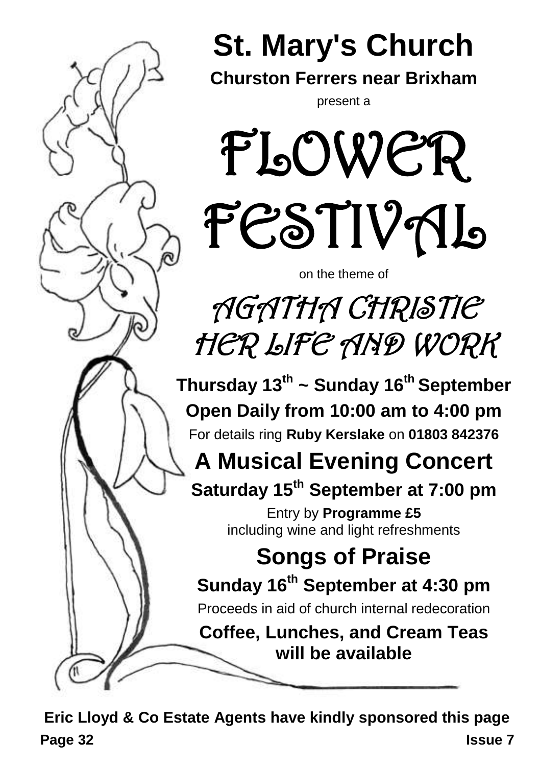

**Page 32 Issue 7 Eric Lloyd & Co Estate Agents have kindly sponsored this page**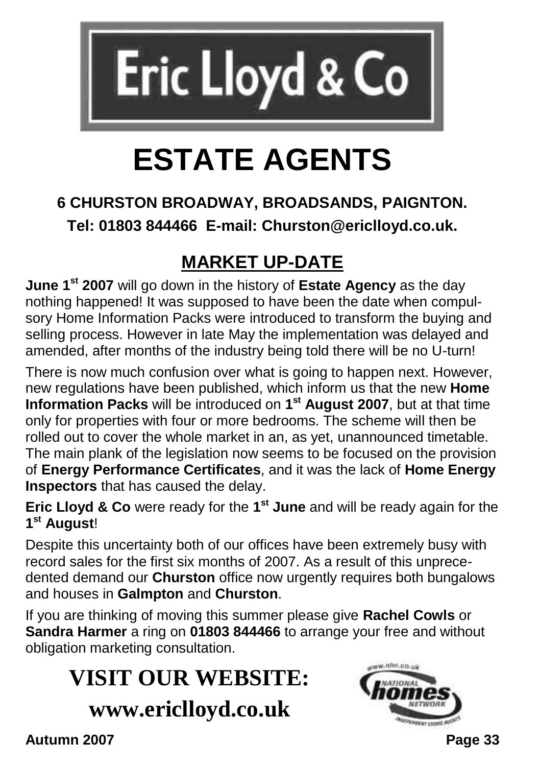

# **ESTATE AGENTS**

### **6 CHURSTON BROADWAY, BROADSANDS, PAIGNTON. Tel: 01803 844466 E-mail: Churston@ericlloyd.co.uk.**

## **MARKET UP-DATE**

**June 1st 2007** will go down in the history of **Estate Agency** as the day nothing happened! It was supposed to have been the date when compulsory Home Information Packs were introduced to transform the buying and selling process. However in late May the implementation was delayed and amended, after months of the industry being told there will be no U-turn!

There is now much confusion over what is going to happen next. However, new regulations have been published, which inform us that the new **Home Information Packs** will be introduced on **1 st August 2007**, but at that time only for properties with four or more bedrooms. The scheme will then be rolled out to cover the whole market in an, as yet, unannounced timetable. The main plank of the legislation now seems to be focused on the provision of **Energy Performance Certificates**, and it was the lack of **Home Energy Inspectors** that has caused the delay.

**Eric Lloyd & Co** were ready for the **1 st June** and will be ready again for the **1 st August**!

Despite this uncertainty both of our offices have been extremely busy with record sales for the first six months of 2007. As a result of this unprecedented demand our **Churston** office now urgently requires both bungalows and houses in **Galmpton** and **Churston**.

If you are thinking of moving this summer please give **Rachel Cowls** or **Sandra Harmer** a ring on **01803 844466** to arrange your free and without obligation marketing consultation.

## **VISIT OUR WEBSITE: www.ericlloyd.co.uk**

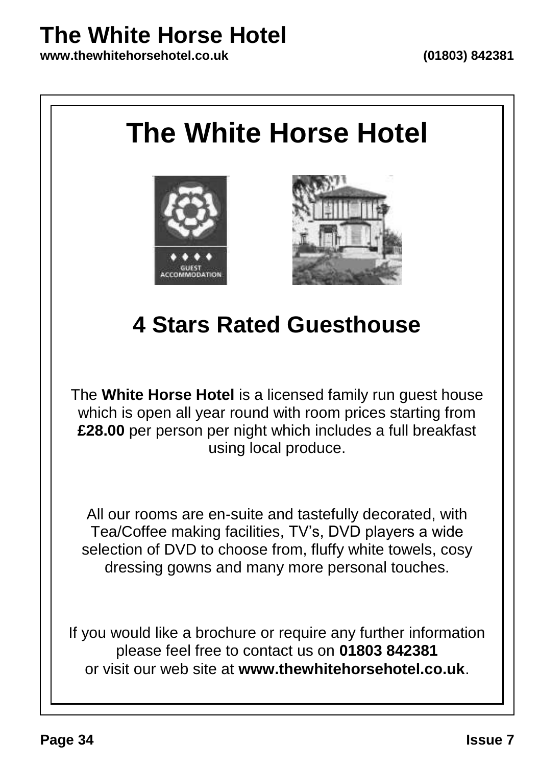## **The White Horse Hotel**

**www.thewhitehorsehotel.co.uk (01803) 842381**

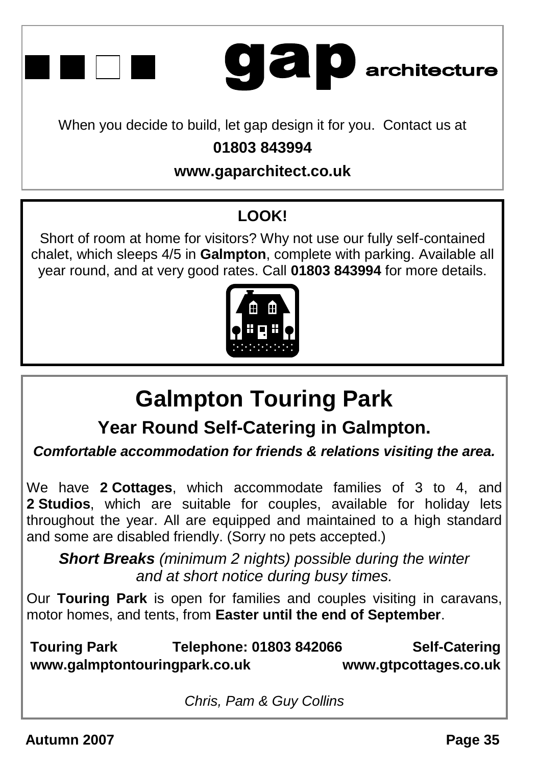



When you decide to build, let gap design it for you. Contact us at

### **01803 843994**

### **www.gaparchitect.co.uk**

## **LOOK!**

Short of room at home for visitors? Why not use our fully self-contained chalet, which sleeps 4/5 in **Galmpton**, complete with parking. Available all year round, and at very good rates. Call **01803 843994** for more details.



## **Galmpton Touring Park**

**Year Round Self-Catering in Galmpton.**

*Comfortable accommodation for friends & relations visiting the area.*

We have **2 Cottages**, which accommodate families of 3 to 4, and **2 Studios**, which are suitable for couples, available for holiday lets throughout the year. All are equipped and maintained to a high standard and some are disabled friendly. (Sorry no pets accepted.)

*Short Breaks (minimum 2 nights) possible during the winter and at short notice during busy times.*

Our **Touring Park** is open for families and couples visiting in caravans, motor homes, and tents, from **Easter until the end of September**.

**Touring Park Telephone: 01803 842066 Self-Catering www.galmptontouringpark.co.uk www.gtpcottages.co.uk**

*Chris, Pam & Guy Collins*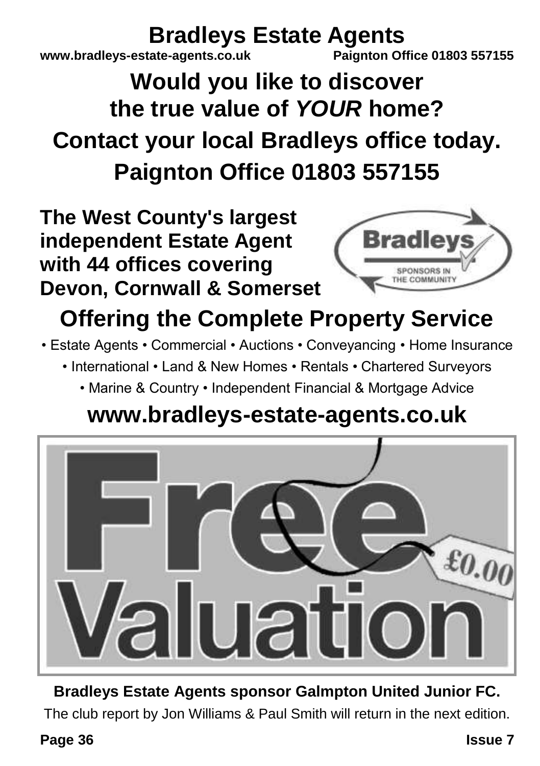# **Bradleys Estate Agents**<br>ate-agents.co.uk<br>Paignton Office 01803 557155

**www.bradlevs-estate-agents.co.uk** 

## **Would you like to discover the true value of** *YOUR* **home? Contact your local Bradleys office today. Paignton Office 01803 557155**

**The West County's largest independent Estate Agent with 44 offices covering Devon, Cornwall & Somerset**



## **Offering the Complete Property Service**

- Estate Agents Commercial Auctions Conveyancing Home Insurance
	- International Land & New Homes Rentals Chartered Surveyors
		- Marine & Country Independent Financial & Mortgage Advice

## **www.bradleys-estate-agents.co.uk**



**Bradleys Estate Agents sponsor Galmpton United Junior FC.** The club report by Jon Williams & Paul Smith will return in the next edition.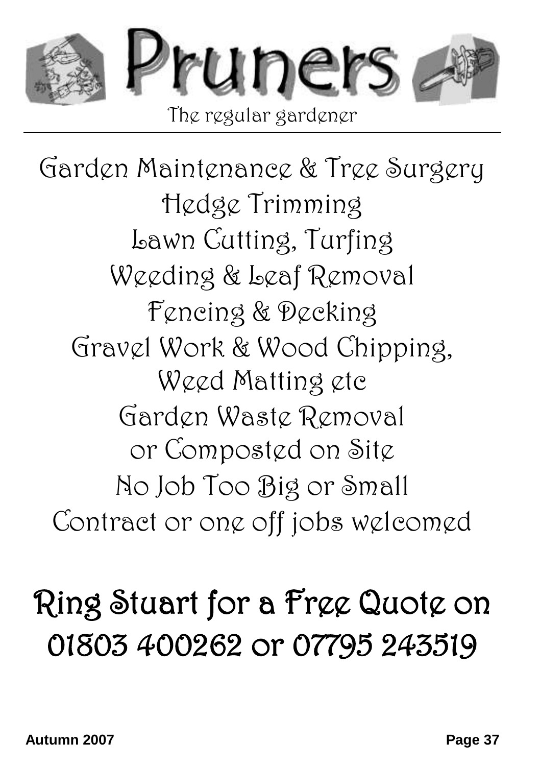

Garden Maintenance & Tree Surgery Hedge Trimming Lawn Cutting, Turfing Weeding & Leaf Removal Fencing & Decking Gravel Work & Wood Chipping, Weed Matting etc Garden Waste Removal or Composted on Site No Job Too Big or Small Contract or one off jobs welcomed

# Ring Stuart for a Free Quote on 01803 400262 or 07795 243519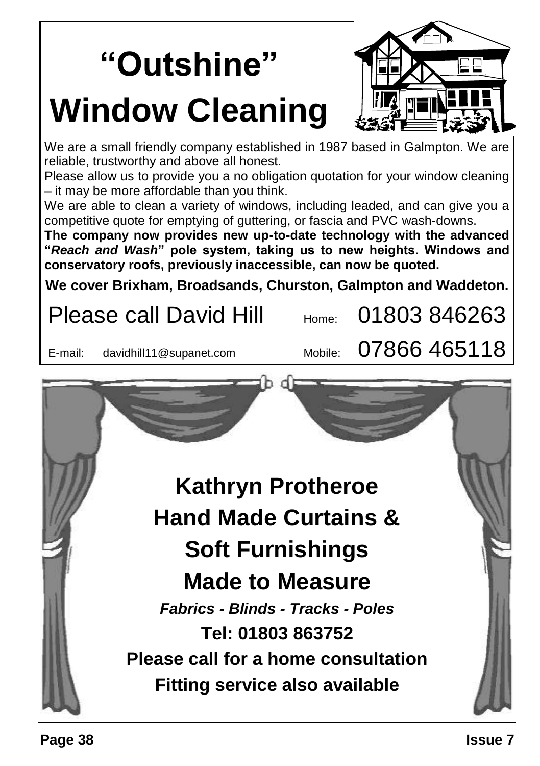# **"Outshine" Window Cleaning**



We are a small friendly company established in 1987 based in Galmpton. We are reliable, trustworthy and above all honest.

Please allow us to provide you a no obligation quotation for your window cleaning – it may be more affordable than you think.

We are able to clean a variety of windows, including leaded, and can give you a competitive quote for emptying of guttering, or fascia and PVC wash-downs.

**The company now provides new up-to-date technology with the advanced "***Reach and Wash***" pole system, taking us to new heights. Windows and conservatory roofs, previously inaccessible, can now be quoted.**

**We cover Brixham, Broadsands, Churston, Galmpton and Waddeton.**

|                                 | <b>Please call David Hill</b>              | Home:   |  | 01803846263  |  |  |
|---------------------------------|--------------------------------------------|---------|--|--------------|--|--|
| E-mail:                         | davidhill11@supanet.com                    | Mobile: |  | 07866 465118 |  |  |
|                                 |                                            |         |  |              |  |  |
|                                 |                                            |         |  |              |  |  |
|                                 |                                            |         |  |              |  |  |
| <b>Kathryn Protheroe</b>        |                                            |         |  |              |  |  |
| <b>Hand Made Curtains &amp;</b> |                                            |         |  |              |  |  |
| <b>Soft Furnishings</b>         |                                            |         |  |              |  |  |
| <b>Made to Measure</b>          |                                            |         |  |              |  |  |
|                                 | <b>Fabrics - Blinds - Tracks - Poles</b>   |         |  |              |  |  |
|                                 | Tel: 01803 863752                          |         |  |              |  |  |
|                                 | <b>Please call for a home consultation</b> |         |  |              |  |  |
|                                 | Fitting service also available             |         |  |              |  |  |
|                                 |                                            |         |  |              |  |  |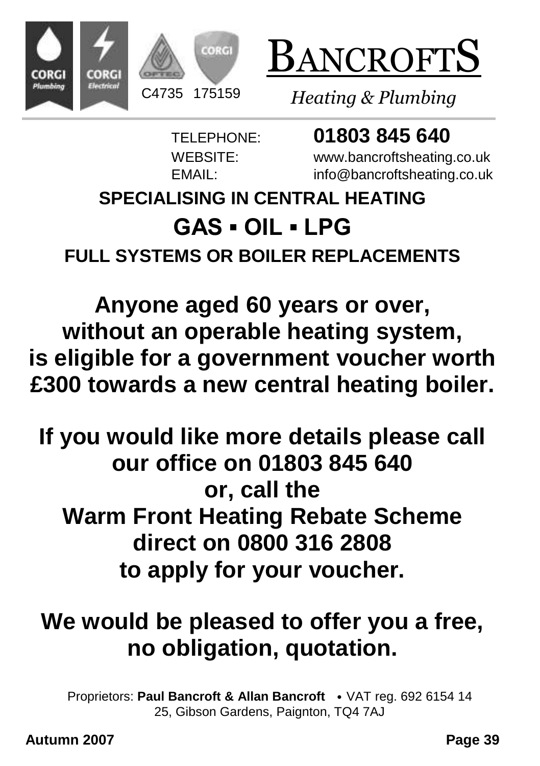



*Heating & Plumbing*

TELEPHONE: **01803 845 640**

WEBSITE: www.bancroftsheating.co.uk EMAIL: info@bancroftsheating.co.uk

## **SPECIALISING IN CENTRAL HEATING GAS ▪ OIL ▪ LPG FULL SYSTEMS OR BOILER REPLACEMENTS**

**Anyone aged 60 years or over, without an operable heating system, is eligible for a government voucher worth £300 towards a new central heating boiler.**

## **If you would like more details please call our office on 01803 845 640 or, call the Warm Front Heating Rebate Scheme direct on 0800 316 2808 to apply for your voucher.**

## **We would be pleased to offer you a free, no obligation, quotation.**

Proprietors: **Paul Bancroft & Allan Bancroft** • VAT reg. 692 6154 14 25, Gibson Gardens, Paignton, TQ4 7AJ